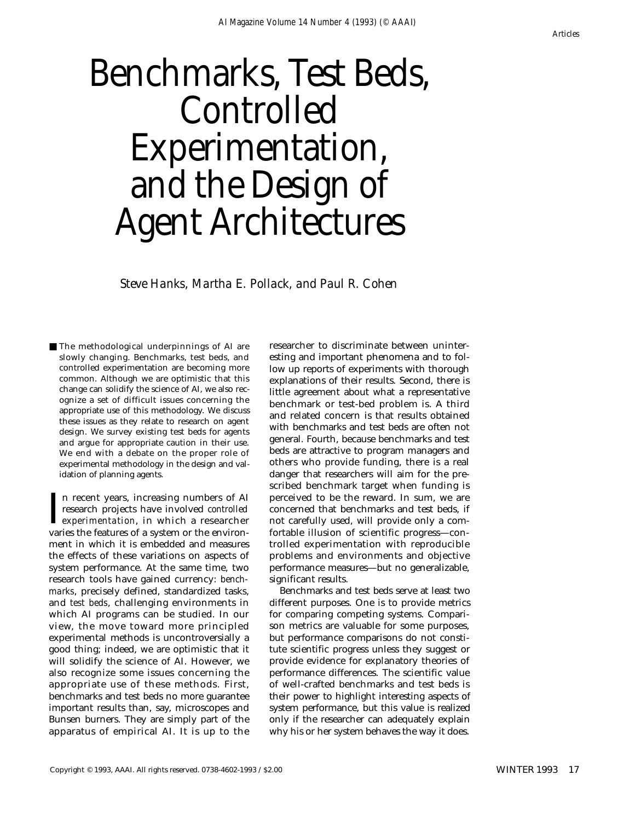# **Benchmarks, Test Beds, Controlled Experimentation, and the Design of Agent Architectures**

*Steve Hanks, Martha E. Pollack, and Paul R. Cohen*

■ The methodological underpinnings of AI are slowly changing. Benchmarks, test beds, and controlled experimentation are becoming more common. Although we are optimistic that this change can solidify the science of AI, we also recognize a set of difficult issues concerning the appropriate use of this methodology. We discuss these issues as they relate to research on agent design. We survey existing test beds for agents and argue for appropriate caution in their use. We end with a debate on the proper role of experimental methodology in the design and validation of planning agents.

In recent years, increasing numbers of AI research projects have involved *controlled* experimentation, in which a researcher varies the features of a system or the environn recent years, increasing numbers of AI research projects have involved *controlled experimentation*, in which a researcher ment in which it is embedded and measures the effects of these variations on aspects of system performance. At the same time, two research tools have gained currency: *benchmarks*, precisely defined, standardized tasks, and *test beds*, challenging environments in which AI programs can be studied. In our view, the move toward more principled experimental methods is uncontroversially a good thing; indeed, we are optimistic that it will solidify the science of AI. However, we also recognize some issues concerning the appropriate use of these methods. First, benchmarks and test beds no more guarantee important results than, say, microscopes and Bunsen burners. They are simply part of the apparatus of empirical AI. It is up to the

researcher to discriminate between uninteresting and important phenomena and to follow up reports of experiments with thorough explanations of their results. Second, there is little agreement about what a representative benchmark or test-bed problem is. A third and related concern is that results obtained with benchmarks and test beds are often not general. Fourth, because benchmarks and test beds are attractive to program managers and others who provide funding, there is a real danger that researchers will aim for the prescribed benchmark target when funding is perceived to be the reward. In sum, we are concerned that benchmarks and test beds, if not carefully used, will provide only a comfortable illusion of scientific progress—controlled experimentation with reproducible problems and environments and objective performance measures—but no generalizable, significant results.

Benchmarks and test beds serve at least two different purposes. One is to provide metrics for comparing competing systems. Comparison metrics are valuable for some purposes, but performance comparisons do not constitute scientific progress unless they suggest or provide evidence for explanatory theories of performance differences. The scientific value of well-crafted benchmarks and test beds is their power to highlight interesting aspects of system performance, but this value is realized only if the researcher can adequately explain why his or her system behaves the way it does.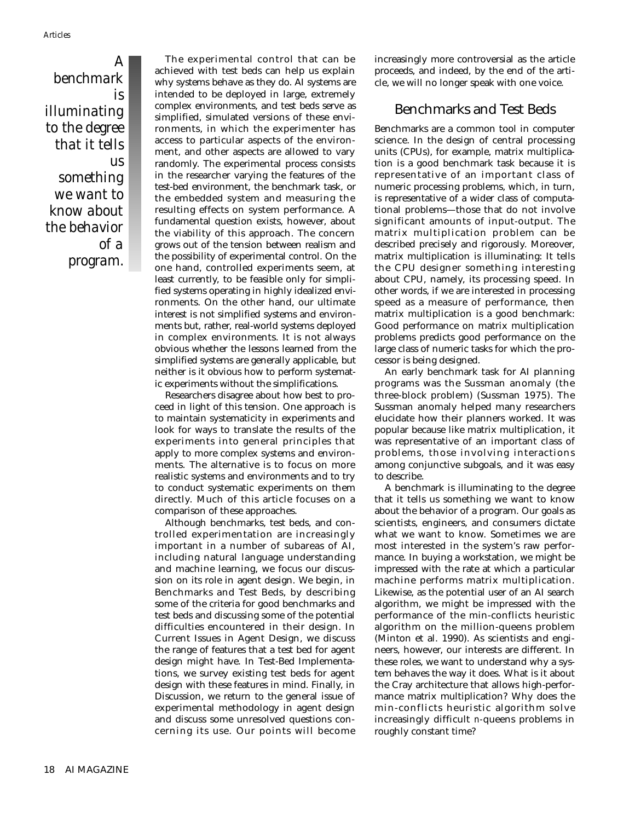# *A benchmark is illuminating to the degree that it tells us something we want to know about the behavior of a program.*

The experimental control that can be achieved with test beds can help us explain why systems behave as they do. AI systems are intended to be deployed in large, extremely complex environments, and test beds serve as simplified, simulated versions of these environments, in which the experimenter has access to particular aspects of the environment, and other aspects are allowed to vary randomly. The experimental process consists in the researcher varying the features of the test-bed environment, the benchmark task, or the embedded system and measuring the resulting effects on system performance. A fundamental question exists, however, about the viability of this approach. The concern grows out of the tension between realism and the possibility of experimental control. On the one hand, controlled experiments seem, at least currently, to be feasible only for simplified systems operating in highly idealized environments. On the other hand, our ultimate interest is not simplified systems and environments but, rather, real-world systems deployed in complex environments. It is not always obvious whether the lessons learned from the simplified systems are generally applicable, but neither is it obvious how to perform systematic experiments without the simplifications.

Researchers disagree about how best to proceed in light of this tension. One approach is to maintain systematicity in experiments and look for ways to translate the results of the experiments into general principles that apply to more complex systems and environments. The alternative is to focus on more realistic systems and environments and to try to conduct systematic experiments on them directly. Much of this article focuses on a comparison of these approaches.

Although benchmarks, test beds, and controlled experimentation are increasingly important in a number of subareas of AI, including natural language understanding and machine learning, we focus our discussion on its role in agent design. We begin, in Benchmarks and Test Beds, by describing some of the criteria for good benchmarks and test beds and discussing some of the potential difficulties encountered in their design. In Current Issues in Agent Design, we discuss the range of features that a test bed for agent design might have. In Test-Bed Implementations, we survey existing test beds for agent design with these features in mind. Finally, in Discussion, we return to the general issue of experimental methodology in agent design and discuss some unresolved questions concerning its use. Our points will become

increasingly more controversial as the article proceeds, and indeed, by the end of the article, we will no longer speak with one voice.

## Benchmarks and Test Beds

Benchmarks are a common tool in computer science. In the design of central processing units (CPUs), for example, matrix multiplication is a good benchmark task because it is representative of an important class of numeric processing problems, which, in turn, is representative of a wider class of computational problems—those that do not involve significant amounts of input-output. The matrix multiplication problem can be described precisely and rigorously. Moreover, matrix multiplication is illuminating: It tells the CPU designer something interesting about CPU, namely, its processing speed. In other words, if we are interested in processing speed as a measure of performance, then matrix multiplication is a good benchmark: Good performance on matrix multiplication problems predicts good performance on the large class of numeric tasks for which the processor is being designed.

An early benchmark task for AI planning programs was the Sussman anomaly (the three-block problem) (Sussman 1975). The Sussman anomaly helped many researchers elucidate how their planners worked. It was popular because like matrix multiplication, it was representative of an important class of problems, those involving interactions among conjunctive subgoals, and it was easy to describe.

A benchmark is illuminating to the degree that it tells us something we want to know about the behavior of a program. Our goals as scientists, engineers, and consumers dictate what we want to know. Sometimes we are most interested in the system's raw performance. In buying a workstation, we might be impressed with the rate at which a particular machine performs matrix multiplication. Likewise, as the potential user of an AI search algorithm, we might be impressed with the performance of the min-conflicts heuristic algorithm on the million-queens problem (Minton et al. 1990). As scientists and engineers, however, our interests are different. In these roles, we want to understand why a system behaves the way it does. What is it about the Cray architecture that allows high-performance matrix multiplication? Why does the min-conflicts heuristic algorithm solve increasingly difficult *n-*queens problems in roughly constant time?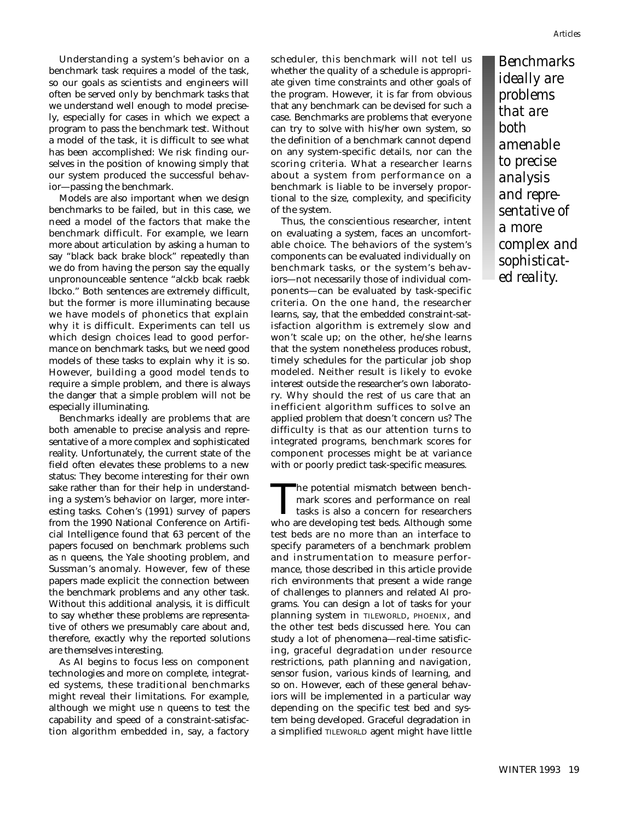Understanding a system's behavior on a benchmark task requires a model of the task, so our goals as scientists and engineers will often be served only by benchmark tasks that we understand well enough to model precisely, especially for cases in which we expect a program to pass the benchmark test. Without a model of the task, it is difficult to see what has been accomplished: We risk finding ourselves in the position of knowing simply that our system produced the successful behavior—passing the benchmark.

Models are also important when we design benchmarks to be failed, but in this case, we need a model of the factors that make the benchmark difficult. For example, we learn more about articulation by asking a human to say "black back brake block" repeatedly than we do from having the person say the equally unpronounceable sentence "alckb bcak raebk lbcko." Both sentences are extremely difficult, but the former is more illuminating because we have models of phonetics that explain why it is difficult. Experiments can tell us which design choices lead to good performance on benchmark tasks, but we need good models of these tasks to explain why it is so. However, building a good model tends to require a simple problem, and there is always the danger that a simple problem will not be especially illuminating.

Benchmarks ideally are problems that are both amenable to precise analysis and representative of a more complex and sophisticated reality. Unfortunately, the current state of the field often elevates these problems to a new status: They become interesting for their own sake rather than for their help in understanding a system's behavior on larger, more interesting tasks. Cohen's (1991) survey of papers from the 1990 National Conference on Artificial Intelligence found that 63 percent of the papers focused on benchmark problems such as *n* queens, the Yale shooting problem, and Sussman's anomaly. However, few of these papers made explicit the connection between the benchmark problems and any other task. Without this additional analysis, it is difficult to say whether these problems are representative of others we presumably care about and, therefore, exactly why the reported solutions are themselves interesting.

As AI begins to focus less on component technologies and more on complete, integrated systems, these traditional benchmarks might reveal their limitations. For example, although we might use *n* queens to test the capability and speed of a constraint-satisfaction algorithm embedded in, say, a factory scheduler, this benchmark will not tell us whether the quality of a schedule is appropriate given time constraints and other goals of the program. However, it is far from obvious that any benchmark can be devised for such a case. Benchmarks are problems that everyone can try to solve with his/her own system, so the definition of a benchmark cannot depend on any system-specific details, nor can the scoring criteria. What a researcher learns about a system from performance on a benchmark is liable to be inversely proportional to the size, complexity, and specificity of the system.

Thus, the conscientious researcher, intent on evaluating a system, faces an uncomfortable choice. The behaviors of the system's components can be evaluated individually on benchmark tasks, or the system's behaviors—not necessarily those of individual components—can be evaluated by task-specific criteria. On the one hand, the researcher learns, say, that the embedded constraint-satisfaction algorithm is extremely slow and won't scale up; on the other, he/she learns that the system nonetheless produces robust, timely schedules for the particular job shop modeled. Neither result is likely to evoke interest outside the researcher's own laboratory. Why should the rest of us care that an inefficient algorithm suffices to solve an applied problem that doesn't concern us? The difficulty is that as our attention turns to integrated programs, benchmark scores for component processes might be at variance with or poorly predict task-specific measures.

The potential mismatch between benchmark scores and performance on real tasks is also a concern for researchers who are developing test beds. Although some test beds are no more than an interface to specify parameters of a benchmark problem and instrumentation to measure performance, those described in this article provide rich environments that present a wide range of challenges to planners and related AI programs. You can design a lot of tasks for your planning system in TILEWORLD, PHOENIX, and the other test beds discussed here. You can study a lot of phenomena—real-time satisficing, graceful degradation under resource restrictions, path planning and navigation, sensor fusion, various kinds of learning, and so on. However, each of these general behaviors will be implemented in a particular way depending on the specific test bed and system being developed. Graceful degradation in a simplified TILEWORLD agent might have little

*Benchmarks ideally are problems that are both amenable to precise analysis and representative of a more complex and sophisticated reality.*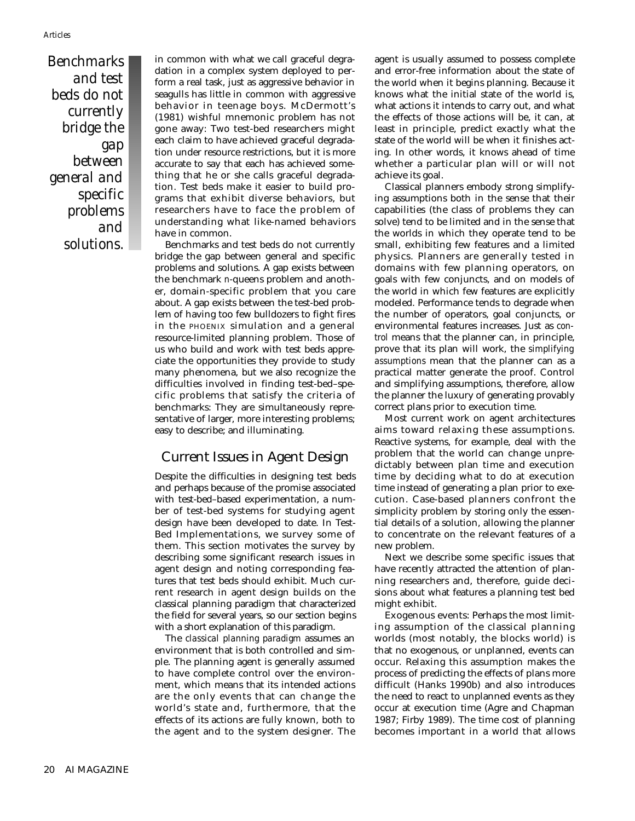*Benchmarks and test beds do not currently bridge the gap between general and specific problems and solutions.*

in common with what we call graceful degradation in a complex system deployed to perform a real task, just as aggressive behavior in seagulls has little in common with aggressive behavior in teenage boys. McDermott's (1981) wishful mnemonic problem has not gone away: Two test-bed researchers might each claim to have achieved graceful degradation under resource restrictions, but it is more accurate to say that each has achieved something that he or she calls graceful degradation. Test beds make it easier to build programs that exhibit diverse behaviors, but researchers have to face the problem of understanding what like-named behaviors have in common.

Benchmarks and test beds do not currently bridge the gap between general and specific problems and solutions. A gap exists between the benchmark *n*-queens problem and another, domain-specific problem that you care about. A gap exists between the test-bed problem of having too few bulldozers to fight fires in the PHOENIX simulation and a general resource-limited planning problem. Those of us who build and work with test beds appreciate the opportunities they provide to study many phenomena, but we also recognize the difficulties involved in finding test-bed–specific problems that satisfy the criteria of benchmarks: They are simultaneously representative of larger, more interesting problems; easy to describe; and illuminating.

## Current Issues in Agent Design

Despite the difficulties in designing test beds and perhaps because of the promise associated with test-bed–based experimentation, a number of test-bed systems for studying agent design have been developed to date. In Test-Bed Implementations, we survey some of them. This section motivates the survey by describing some significant research issues in agent design and noting corresponding features that test beds should exhibit. Much current research in agent design builds on the classical planning paradigm that characterized the field for several years, so our section begins with a short explanation of this paradigm.

The *classical planning paradigm* assumes an environment that is both controlled and simple. The planning agent is generally assumed to have complete control over the environment, which means that its intended actions are the only events that can change the world's state and, furthermore, that the effects of its actions are fully known, both to the agent and to the system designer. The

agent is usually assumed to possess complete and error-free information about the state of the world when it begins planning. Because it knows what the initial state of the world is, what actions it intends to carry out, and what the effects of those actions will be, it can, at least in principle, predict exactly what the state of the world will be when it finishes acting. In other words, it knows ahead of time whether a particular plan will or will not achieve its goal.

Classical planners embody strong simplifying assumptions both in the sense that their capabilities (the class of problems they can solve) tend to be limited and in the sense that the worlds in which they operate tend to be small, exhibiting few features and a limited physics. Planners are generally tested in domains with few planning operators, on goals with few conjuncts, and on models of the world in which few features are explicitly modeled. Performance tends to degrade when the number of operators, goal conjuncts, or environmental features increases. Just as *control* means that the planner can, in principle, prove that its plan will work, the *simplifying assumptions* mean that the planner can as a practical matter generate the proof. Control and simplifying assumptions, therefore, allow the planner the luxury of generating provably correct plans prior to execution time.

Most current work on agent architectures aims toward relaxing these assumptions. Reactive systems, for example, deal with the problem that the world can change unpredictably between plan time and execution time by deciding what to do at execution time instead of generating a plan prior to execution. Case-based planners confront the simplicity problem by storing only the essential details of a solution, allowing the planner to concentrate on the relevant features of a new problem.

Next we describe some specific issues that have recently attracted the attention of planning researchers and, therefore, guide decisions about what features a planning test bed might exhibit.

**Exogenous events:** Perhaps the most limiting assumption of the classical planning worlds (most notably, the blocks world) is that no exogenous, or unplanned, events can occur. Relaxing this assumption makes the process of predicting the effects of plans more difficult (Hanks 1990b) and also introduces the need to react to unplanned events as they occur at execution time (Agre and Chapman 1987; Firby 1989). The time cost of planning becomes important in a world that allows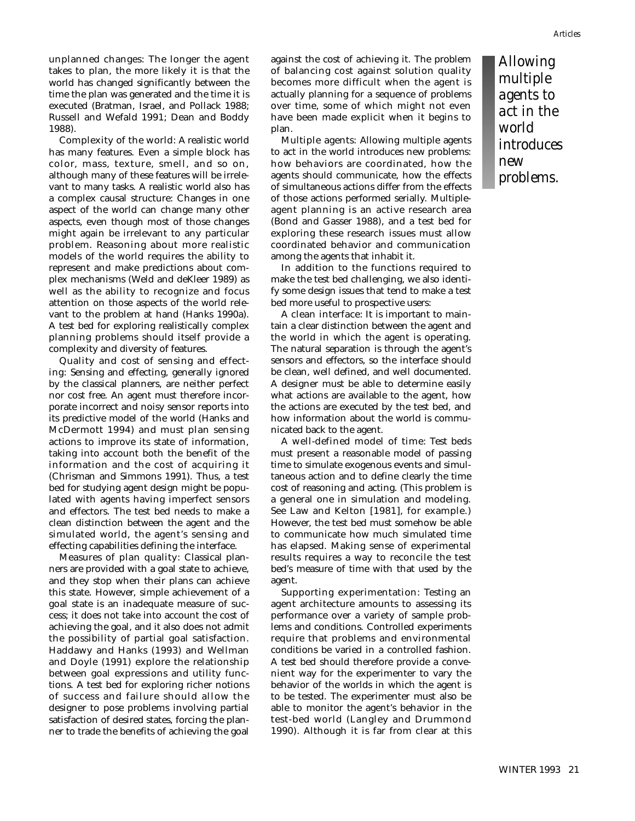unplanned changes: The longer the agent takes to plan, the more likely it is that the world has changed significantly between the time the plan was generated and the time it is executed (Bratman, Israel, and Pollack 1988; Russell and Wefald 1991; Dean and Boddy 1988).

**Complexity of the world:** A realistic world has many features. Even a simple block has color, mass, texture, smell, and so on, although many of these features will be irrelevant to many tasks. A realistic world also has a complex causal structure: Changes in one aspect of the world can change many other aspects, even though most of those changes might again be irrelevant to any particular problem. Reasoning about more realistic models of the world requires the ability to represent and make predictions about complex mechanisms (Weld and deKleer 1989) as well as the ability to recognize and focus attention on those aspects of the world relevant to the problem at hand (Hanks 1990a). A test bed for exploring realistically complex planning problems should itself provide a complexity and diversity of features.

**Quality and cost of sensing and effecting:** Sensing and effecting, generally ignored by the classical planners, are neither perfect nor cost free. An agent must therefore incorporate incorrect and noisy sensor reports into its predictive model of the world (Hanks and McDermott 1994) and must plan sensing actions to improve its state of information, taking into account both the benefit of the information and the cost of acquiring it (Chrisman and Simmons 1991). Thus, a test bed for studying agent design might be populated with agents having imperfect sensors and effectors. The test bed needs to make a clean distinction between the agent and the simulated world, the agent's sensing and effecting capabilities defining the interface.

**Measures of plan quality:** Classical planners are provided with a goal state to achieve, and they stop when their plans can achieve this state. However, simple achievement of a goal state is an inadequate measure of success; it does not take into account the cost of achieving the goal, and it also does not admit the possibility of partial goal satisfaction. Haddawy and Hanks (1993) and Wellman and Doyle (1991) explore the relationship between goal expressions and utility functions. A test bed for exploring richer notions of success and failure should allow the designer to pose problems involving partial satisfaction of desired states, forcing the planner to trade the benefits of achieving the goal

against the cost of achieving it. The problem of balancing cost against solution quality becomes more difficult when the agent is actually planning for a sequence of problems over time, some of which might not even have been made explicit when it begins to plan.

**Multiple agents:** Allowing multiple agents to act in the world introduces new problems: how behaviors are coordinated, how the agents should communicate, how the effects of simultaneous actions differ from the effects of those actions performed serially. Multipleagent planning is an active research area (Bond and Gasser 1988), and a test bed for exploring these research issues must allow coordinated behavior and communication among the agents that inhabit it.

In addition to the functions required to make the test bed challenging, we also identify some design issues that tend to make a test bed more useful to prospective users:

**A clean interface:** It is important to maintain a clear distinction between the agent and the world in which the agent is operating. The natural separation is through the agent's sensors and effectors, so the interface should be clean, well defined, and well documented. A designer must be able to determine easily what actions are available to the agent, how the actions are executed by the test bed, and how information about the world is communicated back to the agent.

**A well-defined model of time:** Test beds must present a reasonable model of passing time to simulate exogenous events and simultaneous action and to define clearly the time cost of reasoning and acting. (This problem is a general one in simulation and modeling. See Law and Kelton [1981], for example.) However, the test bed must somehow be able to communicate how much simulated time has elapsed. Making sense of experimental results requires a way to reconcile the test bed's measure of time with that used by the agent.

**Supporting experimentation:** Testing an agent architecture amounts to assessing its performance over a variety of sample problems and conditions. Controlled experiments require that problems and environmental conditions be varied in a controlled fashion. A test bed should therefore provide a convenient way for the experimenter to vary the behavior of the worlds in which the agent is to be tested. The experimenter must also be able to monitor the agent's behavior in the test-bed world (Langley and Drummond 1990). Although it is far from clear at this

*multiple agents to act in the world introduces new problems.*

*Allowing*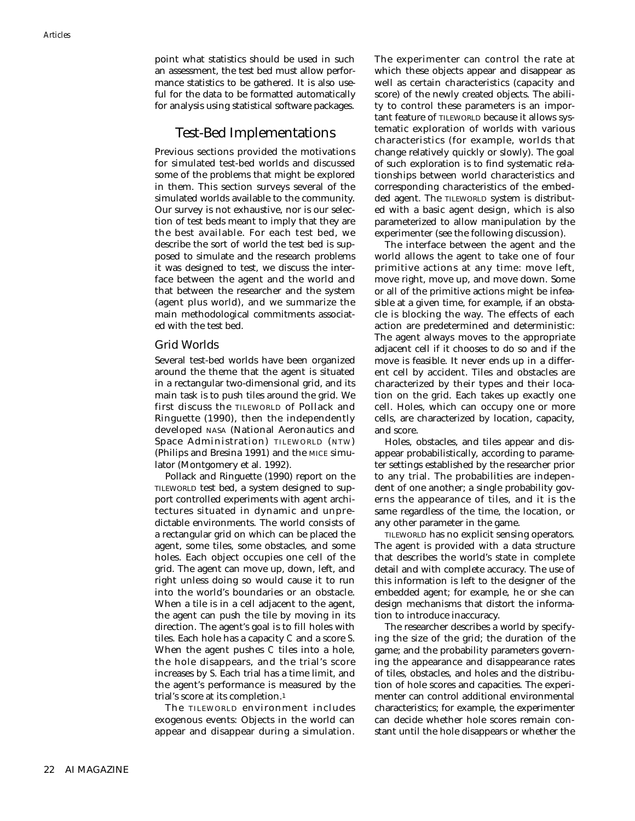point what statistics should be used in such an assessment, the test bed must allow performance statistics to be gathered. It is also useful for the data to be formatted automatically for analysis using statistical software packages.

## Test-Bed Implementations

Previous sections provided the motivations for simulated test-bed worlds and discussed some of the problems that might be explored in them. This section surveys several of the simulated worlds available to the community. Our survey is not exhaustive, nor is our selection of test beds meant to imply that they are the best available. For each test bed, we describe the sort of world the test bed is supposed to simulate and the research problems it was designed to test, we discuss the interface between the agent and the world and that between the researcher and the system (agent plus world), and we summarize the main methodological commitments associated with the test bed.

#### Grid Worlds

Several test-bed worlds have been organized around the theme that the agent is situated in a rectangular two-dimensional grid, and its main task is to push tiles around the grid. We first discuss the TILEWORLD of Pollack and Ringuette (1990), then the independently developed NASA (National Aeronautics and Space Administration) TILEWORLD (NTW) (Philips and Bresina 1991) and the MICE simulator (Montgomery et al. 1992).

Pollack and Ringuette (1990) report on the TILEWORLD test bed, a system designed to support controlled experiments with agent architectures situated in dynamic and unpredictable environments. The world consists of a rectangular grid on which can be placed the agent, some tiles, some obstacles, and some holes. Each object occupies one cell of the grid. The agent can move up, down, left, and right unless doing so would cause it to run into the world's boundaries or an obstacle. When a tile is in a cell adjacent to the agent, the agent can push the tile by moving in its direction. The agent's goal is to fill holes with tiles. Each hole has a capacity *C* and a score *S*. When the agent pushes *C* tiles into a hole, the hole disappears, and the trial's score increases by *S*. Each trial has a time limit, and the agent's performance is measured by the trial's score at its completion.1

The TILEWORLD environment includes exogenous events: Objects in the world can appear and disappear during a simulation. The experimenter can control the rate at which these objects appear and disappear as well as certain characteristics (capacity and score) of the newly created objects. The ability to control these parameters is an important feature of TILEWORLD because it allows systematic exploration of worlds with various characteristics (for example, worlds that change relatively quickly or slowly). The goal of such exploration is to find systematic relationships between world characteristics and corresponding characteristics of the embedded agent. The TILEWORLD system is distributed with a basic agent design, which is also parameterized to allow manipulation by the experimenter (see the following discussion).

The interface between the agent and the world allows the agent to take one of four primitive actions at any time: move left, move right, move up, and move down. Some or all of the primitive actions might be infeasible at a given time, for example, if an obstacle is blocking the way. The effects of each action are predetermined and deterministic: The agent always moves to the appropriate adjacent cell if it chooses to do so and if the move is feasible. It never ends up in a different cell by accident. Tiles and obstacles are characterized by their types and their location on the grid. Each takes up exactly one cell. Holes, which can occupy one or more cells, are characterized by location, capacity, and score.

Holes, obstacles, and tiles appear and disappear probabilistically, according to parameter settings established by the researcher prior to any trial. The probabilities are independent of one another; a single probability governs the appearance of tiles, and it is the same regardless of the time, the location, or any other parameter in the game.

TILEWORLD has no explicit sensing operators. The agent is provided with a data structure that describes the world's state in complete detail and with complete accuracy. The use of this information is left to the designer of the embedded agent; for example, he or she can design mechanisms that distort the information to introduce inaccuracy.

The researcher describes a world by specifying the size of the grid; the duration of the game; and the probability parameters governing the appearance and disappearance rates of tiles, obstacles, and holes and the distribution of hole scores and capacities. The experimenter can control additional environmental characteristics; for example, the experimenter can decide whether hole scores remain constant until the hole disappears or whether the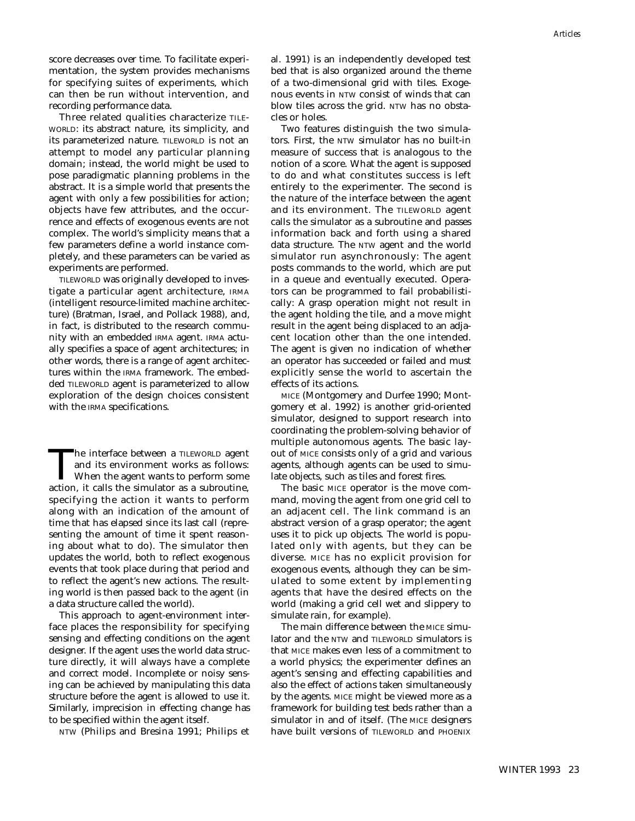score decreases over time. To facilitate experimentation, the system provides mechanisms for specifying suites of experiments, which can then be run without intervention, and recording performance data.

Three related qualities characterize TILE-WORLD: its abstract nature, its simplicity, and its parameterized nature. TILEWORLD is not an attempt to model any particular planning domain; instead, the world might be used to pose paradigmatic planning problems in the abstract. It is a simple world that presents the agent with only a few possibilities for action; objects have few attributes, and the occurrence and effects of exogenous events are not complex. The world's simplicity means that a few parameters define a world instance completely, and these parameters can be varied as experiments are performed.

TILEWORLD was originally developed to investigate a particular agent architecture, IRMA (intelligent resource-limited machine architecture) (Bratman, Israel, and Pollack 1988), and, in fact, is distributed to the research community with an embedded IRMA agent. IRMA actually specifies a space of agent architectures; in other words, there is a range of agent architectures within the IRMA framework. The embedded TILEWORLD agent is parameterized to allow exploration of the design choices consistent with the IRMA specifications.

The interface between a TILEWORLD agent and its environment works as follows: When the agent wants to perform some action, it calls the simulator as a subroutine, specifying the action it wants to perform along with an indication of the amount of time that has elapsed since its last call (representing the amount of time it spent reasoning about what to do). The simulator then updates the world, both to reflect exogenous events that took place during that period and to reflect the agent's new actions. The resulting world is then passed back to the agent (in a data structure called the world).

This approach to agent-environment interface places the responsibility for specifying sensing and effecting conditions on the agent designer. If the agent uses the world data structure directly, it will always have a complete and correct model. Incomplete or noisy sensing can be achieved by manipulating this data structure before the agent is allowed to use it. Similarly, imprecision in effecting change has to be specified within the agent itself.

NTW (Philips and Bresina 1991; Philips et

al. 1991) is an independently developed test bed that is also organized around the theme of a two-dimensional grid with tiles. Exogenous events in NTW consist of winds that can blow tiles across the grid. NTW has no obstacles or holes.

Two features distinguish the two simulators. First, the NTW simulator has no built-in measure of success that is analogous to the notion of a score. What the agent is supposed to do and what constitutes success is left entirely to the experimenter. The second is the nature of the interface between the agent and its environment. The TILEWORLD agent calls the simulator as a subroutine and passes information back and forth using a shared data structure. The NTW agent and the world simulator run asynchronously: The agent posts commands to the world, which are put in a queue and eventually executed. Operators can be programmed to fail probabilistically: A grasp operation might not result in the agent holding the tile, and a move might result in the agent being displaced to an adjacent location other than the one intended. The agent is given no indication of whether an operator has succeeded or failed and must explicitly sense the world to ascertain the effects of its actions.

MICE (Montgomery and Durfee 1990; Montgomery et al. 1992) is another grid-oriented simulator, designed to support research into coordinating the problem-solving behavior of multiple autonomous agents. The basic layout of MICE consists only of a grid and various agents, although agents can be used to simulate objects, such as tiles and forest fires.

The basic MICE operator is the move command, moving the agent from one grid cell to an adjacent cell. The link command is an abstract version of a grasp operator; the agent uses it to pick up objects. The world is populated only with agents, but they can be diverse. MICE has no explicit provision for exogenous events, although they can be simulated to some extent by implementing agents that have the desired effects on the world (making a grid cell wet and slippery to simulate rain, for example).

The main difference between the MICE simulator and the NTW and TILEWORLD simulators is that MICE makes even less of a commitment to a world physics; the experimenter defines an agent's sensing and effecting capabilities and also the effect of actions taken simultaneously by the agents. MICE might be viewed more as a framework for building test beds rather than a simulator in and of itself. (The MICE designers have built versions of TILEWORLD and PHOENIX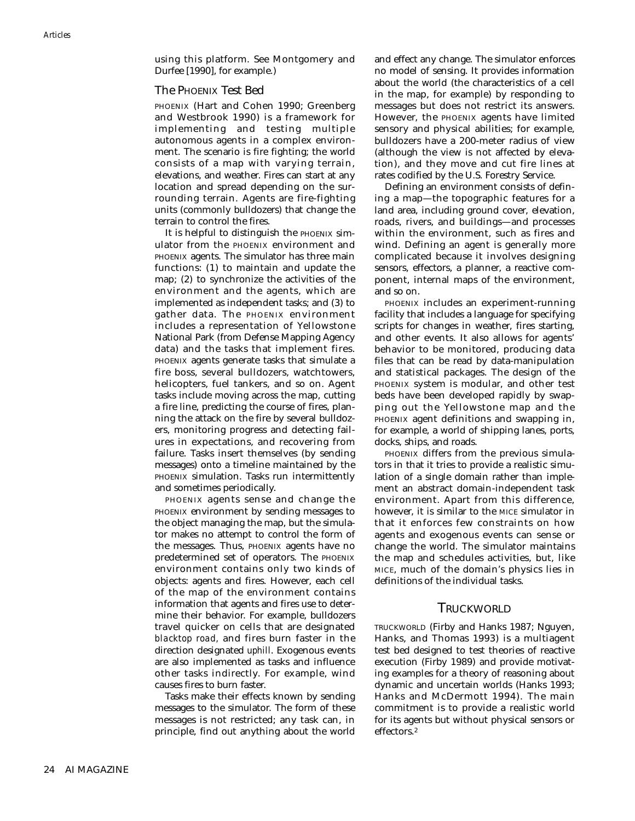using this platform. See Montgomery and Durfee [1990], for example.)

#### The PHOENIX Test Bed

PHOENIX (Hart and Cohen 1990; Greenberg and Westbrook 1990) is a framework for implementing and testing multiple autonomous agents in a complex environment. The scenario is fire fighting; the world consists of a map with varying terrain, elevations, and weather. Fires can start at any location and spread depending on the surrounding terrain. Agents are fire-fighting units (commonly bulldozers) that change the terrain to control the fires.

It is helpful to distinguish the PHOENIX simulator from the PHOENIX environment and PHOENIX agents. The simulator has three main functions: (1) to maintain and update the map; (2) to synchronize the activities of the environment and the agents, which are implemented as independent tasks; and (3) to gather data. The PHOENIX environment includes a representation of Yellowstone National Park (from Defense Mapping Agency data) and the tasks that implement fires. PHOENIX agents generate tasks that simulate a fire boss, several bulldozers, watchtowers, helicopters, fuel tankers, and so on. Agent tasks include moving across the map, cutting a fire line, predicting the course of fires, planning the attack on the fire by several bulldozers, monitoring progress and detecting failures in expectations, and recovering from failure. Tasks insert themselves (by sending messages) onto a timeline maintained by the PHOENIX simulation. Tasks run intermittently and sometimes periodically.

PHOENIX agents sense and change the PHOENIX environment by sending messages to the object managing the map, but the simulator makes no attempt to control the form of the messages. Thus, PHOENIX agents have no predetermined set of operators. The PHOENIX environment contains only two kinds of objects: agents and fires. However, each cell of the map of the environment contains information that agents and fires use to determine their behavior. For example, bulldozers travel quicker on cells that are designated *blacktop road,* and fires burn faster in the direction designated *uphill*. Exogenous events are also implemented as tasks and influence other tasks indirectly. For example, wind causes fires to burn faster.

Tasks make their effects known by sending messages to the simulator. The form of these messages is not restricted; any task can, in principle, find out anything about the world and effect any change. The simulator enforces no model of sensing. It provides information about the world (the characteristics of a cell in the map, for example) by responding to messages but does not restrict its answers. However, the PHOENIX agents have limited sensory and physical abilities; for example, bulldozers have a 200-meter radius of view (although the view is not affected by elevation), and they move and cut fire lines at rates codified by the U.S. Forestry Service.

Defining an environment consists of defining a map—the topographic features for a land area, including ground cover, elevation, roads, rivers, and buildings—and processes within the environment, such as fires and wind. Defining an agent is generally more complicated because it involves designing sensors, effectors, a planner, a reactive component, internal maps of the environment, and so on.

PHOENIX includes an experiment-running facility that includes a language for specifying scripts for changes in weather, fires starting, and other events. It also allows for agents' behavior to be monitored, producing data files that can be read by data-manipulation and statistical packages. The design of the PHOENIX system is modular, and other test beds have been developed rapidly by swapping out the Yellowstone map and the PHOENIX agent definitions and swapping in, for example, a world of shipping lanes, ports, docks, ships, and roads.

PHOENIX differs from the previous simulators in that it tries to provide a realistic simulation of a single domain rather than implement an abstract domain-independent task environment. Apart from this difference, however, it is similar to the MICE simulator in that it enforces few constraints on how agents and exogenous events can sense or change the world. The simulator maintains the map and schedules activities, but, like MICE, much of the domain's physics lies in definitions of the individual tasks.

#### TRUCKWORLD

TRUCKWORLD (Firby and Hanks 1987; Nguyen, Hanks, and Thomas 1993) is a multiagent test bed designed to test theories of reactive execution (Firby 1989) and provide motivating examples for a theory of reasoning about dynamic and uncertain worlds (Hanks 1993; Hanks and McDermott 1994). The main commitment is to provide a realistic world for its agents but without physical sensors or effectors.2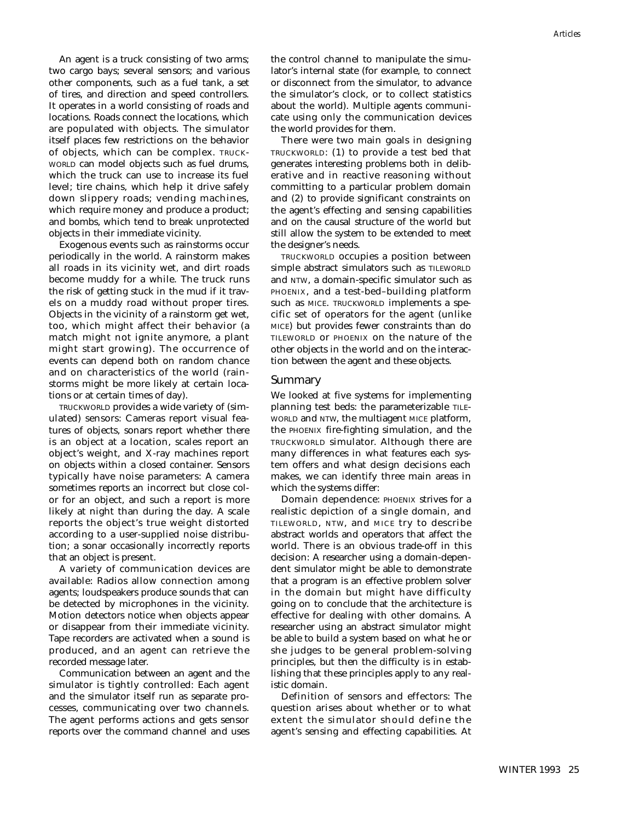An agent is a truck consisting of two arms; two cargo bays; several sensors; and various other components, such as a fuel tank, a set of tires, and direction and speed controllers. It operates in a world consisting of roads and locations. Roads connect the locations, which are populated with objects. The simulator itself places few restrictions on the behavior of objects, which can be complex. TRUCK-WORLD can model objects such as fuel drums, which the truck can use to increase its fuel level; tire chains, which help it drive safely down slippery roads; vending machines, which require money and produce a product; and bombs, which tend to break unprotected objects in their immediate vicinity.

Exogenous events such as rainstorms occur periodically in the world. A rainstorm makes all roads in its vicinity wet, and dirt roads become muddy for a while. The truck runs the risk of getting stuck in the mud if it travels on a muddy road without proper tires. Objects in the vicinity of a rainstorm get wet, too, which might affect their behavior (a match might not ignite anymore, a plant might start growing). The occurrence of events can depend both on random chance and on characteristics of the world (rainstorms might be more likely at certain locations or at certain times of day).

TRUCKWORLD provides a wide variety of (simulated) sensors: Cameras report visual features of objects, sonars report whether there is an object at a location, scales report an object's weight, and X-ray machines report on objects within a closed container. Sensors typically have noise parameters: A camera sometimes reports an incorrect but close color for an object, and such a report is more likely at night than during the day. A scale reports the object's true weight distorted according to a user-supplied noise distribution; a sonar occasionally incorrectly reports that an object is present.

A variety of communication devices are available: Radios allow connection among agents; loudspeakers produce sounds that can be detected by microphones in the vicinity. Motion detectors notice when objects appear or disappear from their immediate vicinity. Tape recorders are activated when a sound is produced, and an agent can retrieve the recorded message later.

Communication between an agent and the simulator is tightly controlled: Each agent and the simulator itself run as separate processes, communicating over two channels. The agent performs actions and gets sensor reports over the command channel and uses the control channel to manipulate the simulator's internal state (for example, to connect or disconnect from the simulator, to advance the simulator's clock, or to collect statistics about the world). Multiple agents communicate using only the communication devices the world provides for them.

There were two main goals in designing TRUCKWORLD: (1) to provide a test bed that generates interesting problems both in deliberative and in reactive reasoning without committing to a particular problem domain and (2) to provide significant constraints on the agent's effecting and sensing capabilities and on the causal structure of the world but still allow the system to be extended to meet the designer's needs.

TRUCKWORLD occupies a position between simple abstract simulators such as TILEWORLD and NTW, a domain-specific simulator such as PHOENIX, and a test-bed–building platform such as MICE. TRUCKWORLD implements a specific set of operators for the agent (unlike MICE) but provides fewer constraints than do TILEWORLD or PHOENIX on the nature of the other objects in the world and on the interaction between the agent and these objects.

#### Summary

We looked at five systems for implementing planning test beds: the parameterizable TILE-WORLD and NTW, the multiagent MICE platform, the PHOENIX fire-fighting simulation, and the TRUCKWORLD simulator. Although there are many differences in what features each system offers and what design decisions each makes, we can identify three main areas in which the systems differ:

**Domain dependence:** PHOENIX strives for a realistic depiction of a single domain, and TILEWORLD, NTW, and MICE try to describe abstract worlds and operators that affect the world. There is an obvious trade-off in this decision: A researcher using a domain-dependent simulator might be able to demonstrate that a program is an effective problem solver in the domain but might have difficulty going on to conclude that the architecture is effective for dealing with other domains. A researcher using an abstract simulator might be able to build a system based on what he or she judges to be general problem-solving principles, but then the difficulty is in establishing that these principles apply to any realistic domain.

**Definition of sensors and effectors:** The question arises about whether or to what extent the simulator should define the agent's sensing and effecting capabilities. At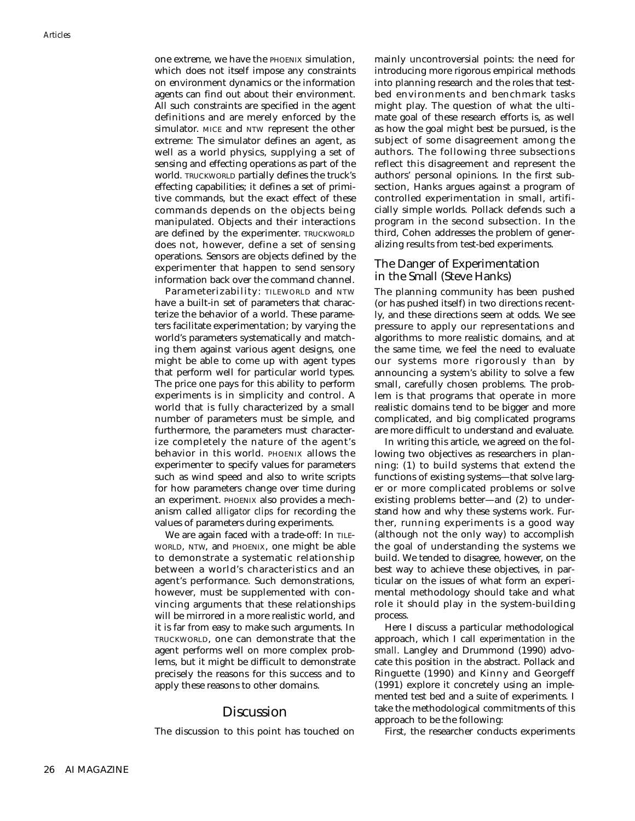one extreme, we have the PHOENIX simulation, which does not itself impose any constraints on environment dynamics or the information agents can find out about their environment. All such constraints are specified in the agent definitions and are merely enforced by the simulator. MICE and NTW represent the other extreme: The simulator defines an agent, as well as a world physics, supplying a set of sensing and effecting operations as part of the world. TRUCKWORLD partially defines the truck's effecting capabilities; it defines a set of primitive commands, but the exact effect of these commands depends on the objects being manipulated. Objects and their interactions are defined by the experimenter. TRUCKWORLD does not, however, define a set of sensing operations. Sensors are objects defined by the experimenter that happen to send sensory information back over the command channel.

**Parameterizability:** TILEWORLD and NTW have a built-in set of parameters that characterize the behavior of a world. These parameters facilitate experimentation; by varying the world's parameters systematically and matching them against various agent designs, one might be able to come up with agent types that perform well for particular world types. The price one pays for this ability to perform experiments is in simplicity and control. A world that is fully characterized by a small number of parameters must be simple, and furthermore, the parameters must characterize completely the nature of the agent's behavior in this world. PHOENIX allows the experimenter to specify values for parameters such as wind speed and also to write scripts for how parameters change over time during an experiment. PHOENIX also provides a mechanism called *alligator clips* for recording the values of parameters during experiments.

We are again faced with a trade-off: In TILE-WORLD, NTW, and PHOENIX, one might be able to demonstrate a systematic relationship between a world's characteristics and an agent's performance. Such demonstrations, however, must be supplemented with convincing arguments that these relationships will be mirrored in a more realistic world, and it is far from easy to make such arguments. In TRUCKWORLD, one can demonstrate that the agent performs well on more complex problems, but it might be difficult to demonstrate precisely the reasons for this success and to apply these reasons to other domains.

### **Discussion**

The discussion to this point has touched on

mainly uncontroversial points: the need for introducing more rigorous empirical methods into planning research and the roles that testbed environments and benchmark tasks might play. The question of what the ultimate goal of these research efforts is, as well as how the goal might best be pursued, is the subject of some disagreement among the authors. The following three subsections reflect this disagreement and represent the authors' personal opinions. In the first subsection, Hanks argues against a program of controlled experimentation in small, artificially simple worlds. Pollack defends such a program in the second subsection. In the third, Cohen addresses the problem of generalizing results from test-bed experiments.

### The Danger of Experimentation in the Small (Steve Hanks)

The planning community has been pushed (or has pushed itself) in two directions recently, and these directions seem at odds. We see pressure to apply our representations and algorithms to more realistic domains, and at the same time, we feel the need to evaluate our systems more rigorously than by announcing a system's ability to solve a few small, carefully chosen problems. The problem is that programs that operate in more realistic domains tend to be bigger and more complicated, and big complicated programs are more difficult to understand and evaluate.

In writing this article, we agreed on the following two objectives as researchers in planning: (1) to build systems that extend the functions of existing systems—that solve larger or more complicated problems or solve existing problems better—and (2) to understand how and why these systems work. Further, running experiments is a good way (although not the only way) to accomplish the goal of understanding the systems we build. We tended to disagree, however, on the best way to achieve these objectives, in particular on the issues of what form an experimental methodology should take and what role it should play in the system-building process.

Here I discuss a particular methodological approach, which I call *experimentation in the small*. Langley and Drummond (1990) advocate this position in the abstract. Pollack and Ringuette (1990) and Kinny and Georgeff (1991) explore it concretely using an implemented test bed and a suite of experiments. I take the methodological commitments of this approach to be the following:

First, the researcher conducts experiments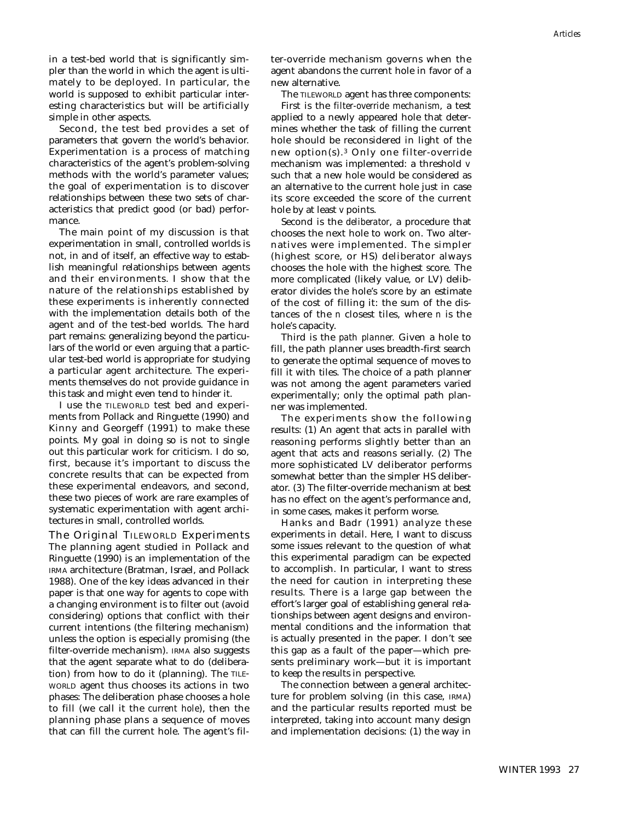in a test-bed world that is significantly simpler than the world in which the agent is ultimately to be deployed. In particular, the world is supposed to exhibit particular interesting characteristics but will be artificially simple in other aspects.

Second, the test bed provides a set of parameters that govern the world's behavior. Experimentation is a process of matching characteristics of the agent's problem-solving methods with the world's parameter values; the goal of experimentation is to discover relationships between these two sets of characteristics that predict good (or bad) performance.

The main point of my discussion is that experimentation in small, controlled worlds is not, in and of itself, an effective way to establish meaningful relationships between agents and their environments. I show that the nature of the relationships established by these experiments is inherently connected with the implementation details both of the agent and of the test-bed worlds. The hard part remains: generalizing beyond the particulars of the world or even arguing that a particular test-bed world is appropriate for studying a particular agent architecture. The experiments themselves do not provide guidance in this task and might even tend to hinder it.

I use the TILEWORLD test bed and experiments from Pollack and Ringuette (1990) and Kinny and Georgeff (1991) to make these points. My goal in doing so is not to single out this particular work for criticism. I do so, first, because it's important to discuss the concrete results that can be expected from these experimental endeavors, and second, these two pieces of work are rare examples of systematic experimentation with agent architectures in small, controlled worlds.

The Original TILEWORLD Experiments The planning agent studied in Pollack and Ringuette (1990) is an implementation of the IRMA architecture (Bratman, Israel, and Pollack 1988). One of the key ideas advanced in their paper is that one way for agents to cope with a changing environment is to filter out (avoid considering) options that conflict with their current intentions (the filtering mechanism) unless the option is especially promising (the filter-override mechanism). IRMA also suggests that the agent separate what to do (deliberation) from how to do it (planning). The TILE-WORLD agent thus chooses its actions in two phases: The deliberation phase chooses a hole to fill (we call it the *current hole*), then the planning phase plans a sequence of moves that can fill the current hole. The agent's filter-override mechanism governs when the agent abandons the current hole in favor of a new alternative.

The TILEWORLD agent has three components: First is the *filter-override mechanism*, a test applied to a newly appeared hole that determines whether the task of filling the current hole should be reconsidered in light of the new option(s).3 Only one filter-override mechanism was implemented: a threshold *v* such that a new hole would be considered as an alternative to the current hole just in case its score exceeded the score of the current hole by at least *v* points.

Second is the *deliberator*, a procedure that chooses the next hole to work on. Two alternatives were implemented. The simpler (highest score, or HS) deliberator always chooses the hole with the highest score. The more complicated (likely value, or LV) deliberator divides the hole's score by an estimate of the cost of filling it: the sum of the distances of the *n* closest tiles, where *n* is the hole's capacity.

Third is the *path planner.* Given a hole to fill, the path planner uses breadth-first search to generate the optimal sequence of moves to fill it with tiles. The choice of a path planner was not among the agent parameters varied experimentally; only the optimal path planner was implemented.

The experiments show the following results: (1) An agent that acts in parallel with reasoning performs slightly better than an agent that acts and reasons serially. (2) The more sophisticated LV deliberator performs somewhat better than the simpler HS deliberator. (3) The filter-override mechanism at best has no effect on the agent's performance and, in some cases, makes it perform worse.

Hanks and Badr (1991) analyze these experiments in detail. Here, I want to discuss some issues relevant to the question of what this experimental paradigm can be expected to accomplish. In particular, I want to stress the need for caution in interpreting these results. There is a large gap between the effort's larger goal of establishing general relationships between agent designs and environmental conditions and the information that is actually presented in the paper. I don't see this gap as a fault of the paper—which presents preliminary work—but it is important to keep the results in perspective.

The connection between a general architecture for problem solving (in this case, IRMA) and the particular results reported must be interpreted, taking into account many design and implementation decisions: (1) the way in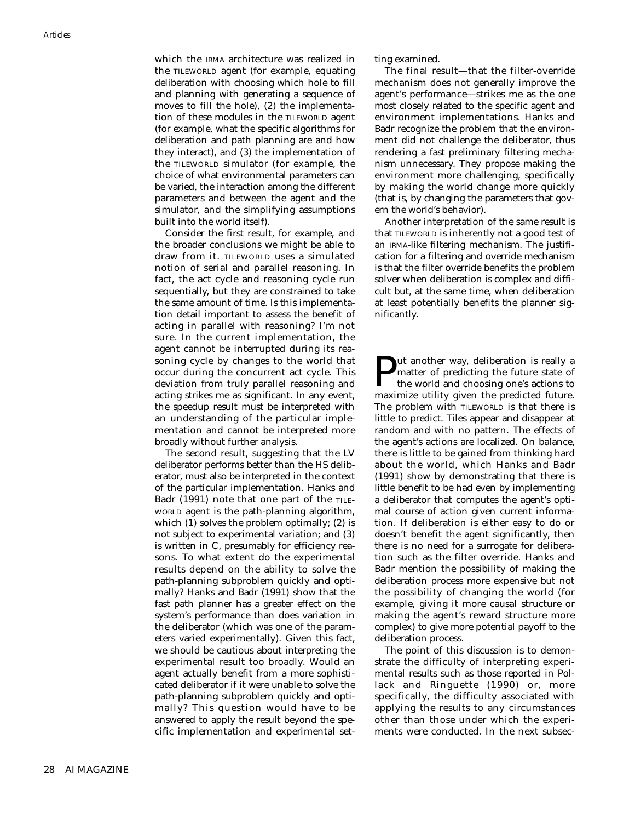which the IRMA architecture was realized in the TILEWORLD agent (for example, equating deliberation with choosing which hole to fill and planning with generating a sequence of moves to fill the hole), (2) the implementation of these modules in the TILEWORLD agent (for example, what the specific algorithms for deliberation and path planning are and how they interact), and (3) the implementation of the TILEWORLD simulator (for example, the choice of what environmental parameters can be varied, the interaction among the different parameters and between the agent and the simulator, and the simplifying assumptions built into the world itself).

Consider the first result, for example, and the broader conclusions we might be able to draw from it. TILEWORLD uses a simulated notion of serial and parallel reasoning. In fact, the act cycle and reasoning cycle run sequentially, but they are constrained to take the same amount of time. Is this implementation detail important to assess the benefit of acting in parallel with reasoning? I'm not sure. In the current implementation, the agent cannot be interrupted during its reasoning cycle by changes to the world that occur during the concurrent act cycle. This deviation from truly parallel reasoning and acting strikes me as significant. In any event, the speedup result must be interpreted with an understanding of the particular implementation and cannot be interpreted more broadly without further analysis.

The second result, suggesting that the LV deliberator performs better than the HS deliberator, must also be interpreted in the context of the particular implementation. Hanks and Badr (1991) note that one part of the TILE-WORLD agent is the path-planning algorithm, which (1) solves the problem optimally; (2) is not subject to experimental variation; and (3) is written in C, presumably for efficiency reasons. To what extent do the experimental results depend on the ability to solve the path-planning subproblem quickly and optimally? Hanks and Badr (1991) show that the fast path planner has a greater effect on the system's performance than does variation in the deliberator (which was one of the parameters varied experimentally). Given this fact, we should be cautious about interpreting the experimental result too broadly. Would an agent actually benefit from a more sophisticated deliberator if it were unable to solve the path-planning subproblem quickly and optimally? This question would have to be answered to apply the result beyond the specific implementation and experimental setting examined.

The final result—that the filter-override mechanism does not generally improve the agent's performance—strikes me as the one most closely related to the specific agent and environment implementations. Hanks and Badr recognize the problem that the environment did not challenge the deliberator, thus rendering a fast preliminary filtering mechanism unnecessary. They propose making the environment more challenging, specifically by making the world change more quickly (that is, by changing the parameters that govern the world's behavior).

Another interpretation of the same result is that TILEWORLD is inherently not a good test of an IRMA-like filtering mechanism. The justification for a filtering and override mechanism is that the filter override benefits the problem solver when deliberation is complex and difficult but, at the same time, when deliberation at least potentially benefits the planner significantly.

**Put another way, deliberation is really a**<br>the world and choosing one's actions to<br>maximize utility given the predicted future matter of predicting the future state of the world and choosing one's actions to maximize utility given the predicted future. The problem with TILEWORLD is that there is little to predict. Tiles appear and disappear at random and with no pattern. The effects of the agent's actions are localized. On balance, there is little to be gained from thinking hard about the world, which Hanks and Badr (1991) show by demonstrating that there is little benefit to be had even by implementing a deliberator that computes the agent's optimal course of action given current information. If deliberation is either easy to do or doesn't benefit the agent significantly, then there is no need for a surrogate for deliberation such as the filter override. Hanks and Badr mention the possibility of making the deliberation process more expensive but not the possibility of changing the world (for example, giving it more causal structure or making the agent's reward structure more complex) to give more potential payoff to the deliberation process.

The point of this discussion is to demonstrate the difficulty of interpreting experimental results such as those reported in Pollack and Ringuette (1990) or, more specifically, the difficulty associated with applying the results to any circumstances other than those under which the experiments were conducted. In the next subsec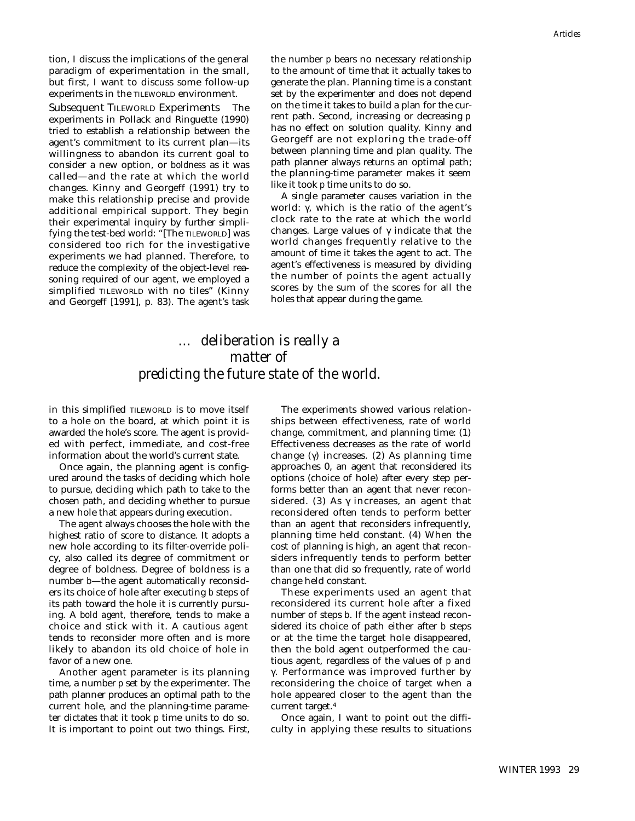tion, I discuss the implications of the general paradigm of experimentation in the small, but first, I want to discuss some follow-up experiments in the TILEWORLD environment.

Subsequent TILEWORLD Experiments The experiments in Pollack and Ringuette (1990) tried to establish a relationship between the agent's commitment to its current plan—its willingness to abandon its current goal to consider a new option, or *boldness* as it was called—and the rate at which the world changes. Kinny and Georgeff (1991) try to make this relationship precise and provide additional empirical support. They begin their experimental inquiry by further simplifying the test-bed world: "[The TILEWORLD] was considered too rich for the investigative experiments we had planned. Therefore, to reduce the complexity of the object-level reasoning required of our agent, we employed a simplified TILEWORLD with no tiles" (Kinny and Georgeff [1991], p. 83). The agent's task

the number *p* bears no necessary relationship to the amount of time that it actually takes to generate the plan. Planning time is a constant set by the experimenter and does not depend on the time it takes to build a plan for the current path. Second, increasing or decreasing *p* has no effect on solution quality. Kinny and Georgeff are not exploring the trade-off between planning time and plan quality. The path planner always returns an optimal path; the planning-time parameter makes it seem like it took *p* time units to do so.

A single parameter causes variation in the world: γ, which is the ratio of the agent's clock rate to the rate at which the world changes. Large values of  $\gamma$  indicate that the world changes frequently relative to the amount of time it takes the agent to act. The agent's effectiveness is measured by dividing the number of points the agent actually scores by the sum of the scores for all the holes that appear during the game.

# *… deliberation is really a matter of predicting the future state of the world.*

in this simplified TILEWORLD is to move itself to a hole on the board, at which point it is awarded the hole's score. The agent is provided with perfect, immediate, and cost-free information about the world's current state.

Once again, the planning agent is configured around the tasks of deciding which hole to pursue, deciding which path to take to the chosen path, and deciding whether to pursue a new hole that appears during execution.

The agent always chooses the hole with the highest ratio of score to distance. It adopts a new hole according to its filter-override policy, also called its degree of commitment or degree of boldness. Degree of boldness is a number *b*—the agent automatically reconsiders its choice of hole after executing *b* steps of its path toward the hole it is currently pursuing. A *bold agent,* therefore, tends to make a choice and stick with it. A *cautious agent* tends to reconsider more often and is more likely to abandon its old choice of hole in favor of a new one.

Another agent parameter is its planning time, a number *p* set by the experimenter. The path planner produces an optimal path to the current hole, and the planning-time parameter dictates that it took *p* time units to do so. It is important to point out two things. First,

The experiments showed various relationships between effectiveness, rate of world change, commitment, and planning time: (1) Effectiveness decreases as the rate of world change (γ) increases. (2) As planning time approaches 0, an agent that reconsidered its options (choice of hole) after every step performs better than an agent that never reconsidered. (3) As  $\gamma$  increases, an agent that reconsidered often tends to perform better than an agent that reconsiders infrequently, planning time held constant. (4) When the cost of planning is high, an agent that reconsiders infrequently tends to perform better than one that did so frequently, rate of world change held constant.

These experiments used an agent that reconsidered its current hole after a fixed number of steps *b*. If the agent instead reconsidered its choice of path either after *b* steps or at the time the target hole disappeared, then the bold agent outperformed the cautious agent, regardless of the values of *p* and γ. Performance was improved further by reconsidering the choice of target when a hole appeared closer to the agent than the current target.4

Once again, I want to point out the difficulty in applying these results to situations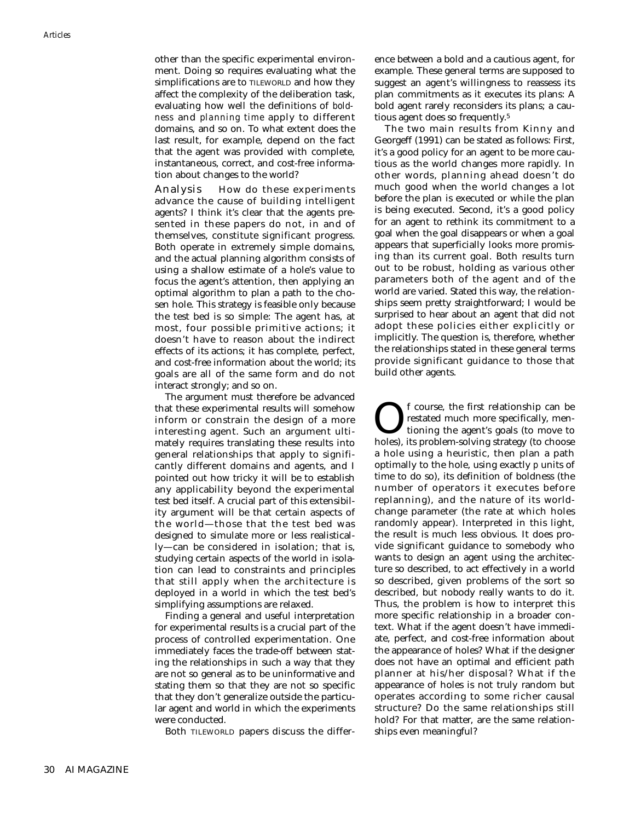other than the specific experimental environment. Doing so requires evaluating what the simplifications are to TILEWORLD and how they affect the complexity of the deliberation task, evaluating how well the definitions of *boldness* and *planning time* apply to different domains, and so on. To what extent does the last result, for example, depend on the fact that the agent was provided with complete, instantaneous, correct, and cost-free information about changes to the world?

Analysis How do these experiments advance the cause of building intelligent agents? I think it's clear that the agents presented in these papers do not, in and of themselves, constitute significant progress. Both operate in extremely simple domains, and the actual planning algorithm consists of using a shallow estimate of a hole's value to focus the agent's attention, then applying an optimal algorithm to plan a path to the chosen hole. This strategy is feasible only because the test bed is so simple: The agent has, at most, four possible primitive actions; it doesn't have to reason about the indirect effects of its actions; it has complete, perfect, and cost-free information about the world; its goals are all of the same form and do not interact strongly; and so on.

The argument must therefore be advanced that these experimental results will somehow inform or constrain the design of a more interesting agent. Such an argument ultimately requires translating these results into general relationships that apply to significantly different domains and agents, and I pointed out how tricky it will be to establish any applicability beyond the experimental test bed itself. A crucial part of this extensibility argument will be that certain aspects of the world—those that the test bed was designed to simulate more or less realistically—can be considered in isolation; that is, studying certain aspects of the world in isolation can lead to constraints and principles that still apply when the architecture is deployed in a world in which the test bed's simplifying assumptions are relaxed.

Finding a general and useful interpretation for experimental results is a crucial part of the process of controlled experimentation. One immediately faces the trade-off between stating the relationships in such a way that they are not so general as to be uninformative and stating them so that they are not so specific that they don't generalize outside the particular agent and world in which the experiments were conducted.

Both TILEWORLD papers discuss the differ-

ence between a bold and a cautious agent, for example. These general terms are supposed to suggest an agent's willingness to reassess its plan commitments as it executes its plans: A bold agent rarely reconsiders its plans; a cautious agent does so frequently.5

The two main results from Kinny and Georgeff (1991) can be stated as follows: First, it's a good policy for an agent to be more cautious as the world changes more rapidly. In other words, planning ahead doesn't do much good when the world changes a lot before the plan is executed or while the plan is being executed. Second, it's a good policy for an agent to rethink its commitment to a goal when the goal disappears or when a goal appears that superficially looks more promising than its current goal. Both results turn out to be robust, holding as various other parameters both of the agent and of the world are varied. Stated this way, the relationships seem pretty straightforward; I would be surprised to hear about an agent that did not adopt these policies either explicitly or implicitly. The question is, therefore, whether the relationships stated in these general terms provide significant guidance to those that build other agents.

 $\sum$  f course, the first relationship can be<br>restated much more specifically, men-<br>tioning the agent's goals (to move to<br>holes) its problem-solving strategy (to choose restated much more specifically, menholes), its problem-solving strategy (to choose a hole using a heuristic, then plan a path optimally to the hole, using exactly *p* units of time to do so), its definition of boldness (the number of operators it executes before replanning), and the nature of its worldchange parameter (the rate at which holes randomly appear). Interpreted in this light, the result is much less obvious. It does provide significant guidance to somebody who wants to design an agent using the architecture so described, to act effectively in a world so described, given problems of the sort so described, but nobody really wants to do it. Thus, the problem is how to interpret this more specific relationship in a broader context. What if the agent doesn't have immediate, perfect, and cost-free information about the appearance of holes? What if the designer does not have an optimal and efficient path planner at his/her disposal? What if the appearance of holes is not truly random but operates according to some richer causal structure? Do the same relationships still hold? For that matter, are the same relationships even meaningful?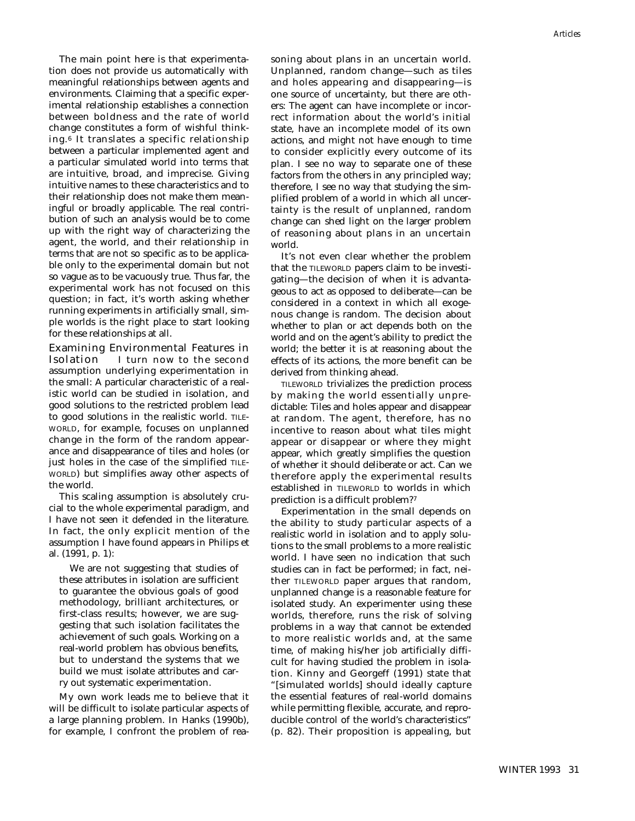The main point here is that experimentation does not provide us automatically with meaningful relationships between agents and environments. Claiming that a specific experimental relationship establishes a connection between boldness and the rate of world change constitutes a form of wishful thinking.6 It translates a specific relationship between a particular implemented agent and a particular simulated world into terms that are intuitive, broad, and imprecise. Giving intuitive names to these characteristics and to their relationship does not make them meaningful or broadly applicable. The real contribution of such an analysis would be to come up with the right way of characterizing the agent, the world, and their relationship in terms that are not so specific as to be applicable only to the experimental domain but not so vague as to be vacuously true. Thus far, the experimental work has not focused on this question; in fact, it's worth asking whether running experiments in artificially small, simple worlds is the right place to start looking for these relationships at all.

Examining Environmental Features in Isolation I turn now to the second assumption underlying experimentation in the small: A particular characteristic of a realistic world can be studied in isolation, and good solutions to the restricted problem lead to good solutions in the realistic world. TILE-WORLD, for example, focuses on unplanned change in the form of the random appearance and disappearance of tiles and holes (or just holes in the case of the simplified TILE-WORLD) but simplifies away other aspects of the world.

This scaling assumption is absolutely crucial to the whole experimental paradigm, and I have not seen it defended in the literature. In fact, the only explicit mention of the assumption I have found appears in Philips et al. (1991, p. 1):

We are not suggesting that studies of these attributes in isolation are sufficient to guarantee the obvious goals of good methodology, brilliant architectures, or first-class results; however, we are suggesting that such isolation facilitates the achievement of such goals. Working on a real-world problem has obvious benefits, but to understand the systems that we build we must isolate attributes and carry out systematic experimentation.

My own work leads me to believe that it will be difficult to isolate particular aspects of a large planning problem. In Hanks (1990b), for example, I confront the problem of rea-

soning about plans in an uncertain world. Unplanned, random change—such as tiles and holes appearing and disappearing—is one source of uncertainty, but there are others: The agent can have incomplete or incorrect information about the world's initial state, have an incomplete model of its own actions, and might not have enough to time to consider explicitly every outcome of its plan. I see no way to separate one of these factors from the others in any principled way; therefore, I see no way that studying the simplified problem of a world in which all uncertainty is the result of unplanned, random change can shed light on the larger problem of reasoning about plans in an uncertain world.

It's not even clear whether the problem that the TILEWORLD papers claim to be investigating—the decision of when it is advantageous to act as opposed to deliberate—can be considered in a context in which all exogenous change is random. The decision about whether to plan or act depends both on the world and on the agent's ability to predict the world; the better it is at reasoning about the effects of its actions, the more benefit can be derived from thinking ahead.

TILEWORLD trivializes the prediction process by making the world essentially unpredictable: Tiles and holes appear and disappear at random. The agent, therefore, has no incentive to reason about what tiles might appear or disappear or where they might appear, which greatly simplifies the question of whether it should deliberate or act. Can we therefore apply the experimental results established in TILEWORLD to worlds in which prediction is a difficult problem?7

Experimentation in the small depends on the ability to study particular aspects of a realistic world in isolation and to apply solutions to the small problems to a more realistic world. I have seen no indication that such studies can in fact be performed; in fact, neither TILEWORLD paper argues that random, unplanned change is a reasonable feature for isolated study. An experimenter using these worlds, therefore, runs the risk of solving problems in a way that cannot be extended to more realistic worlds and, at the same time, of making his/her job artificially difficult for having studied the problem in isolation. Kinny and Georgeff (1991) state that "[simulated worlds] should ideally capture the essential features of real-world domains while permitting flexible, accurate, and reproducible control of the world's characteristics" (p. 82). Their proposition is appealing, but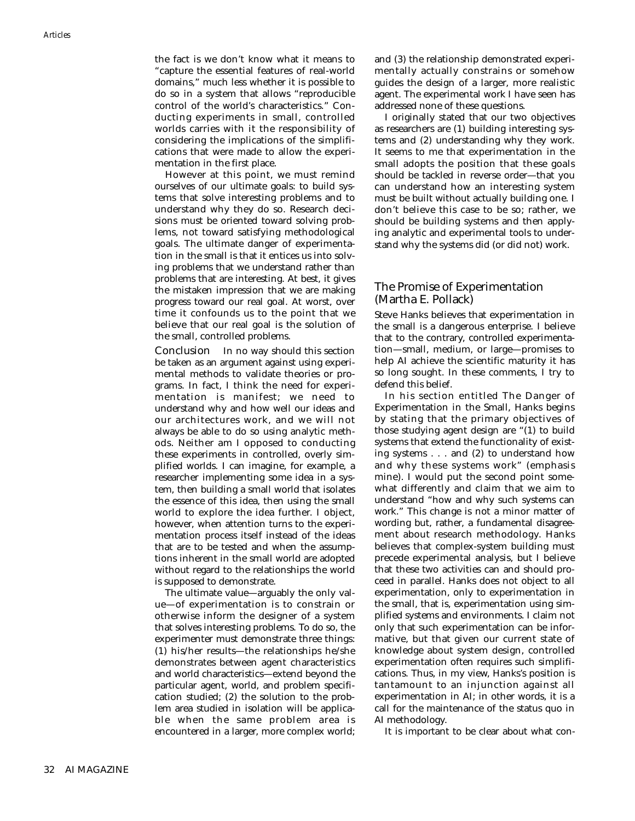the fact is we don't know what it means to "capture the essential features of real-world domains," much less whether it is possible to do so in a system that allows "reproducible control of the world's characteristics." Conducting experiments in small, controlled worlds carries with it the responsibility of considering the implications of the simplifications that were made to allow the experimentation in the first place.

However at this point, we must remind ourselves of our ultimate goals: to build systems that solve interesting problems and to understand why they do so. Research decisions must be oriented toward solving problems, not toward satisfying methodological goals. The ultimate danger of experimentation in the small is that it entices us into solving problems that we understand rather than problems that are interesting. At best, it gives the mistaken impression that we are making progress toward our real goal. At worst, over time it confounds us to the point that we believe that our real goal is the solution of the small, controlled problems.

Conclusion In no way should this section be taken as an argument against using experimental methods to validate theories or programs. In fact, I think the need for experimentation is manifest; we need to understand why and how well our ideas and our architectures work, and we will not always be able to do so using analytic methods. Neither am I opposed to conducting these experiments in controlled, overly simplified worlds. I can imagine, for example, a researcher implementing some idea in a system, then building a small world that isolates the essence of this idea, then using the small world to explore the idea further. I object, however, when attention turns to the experimentation process itself instead of the ideas that are to be tested and when the assumptions inherent in the small world are adopted without regard to the relationships the world is supposed to demonstrate.

The ultimate value—arguably the only value—of experimentation is to constrain or otherwise inform the designer of a system that solves interesting problems. To do so, the experimenter must demonstrate three things: (1) his/her results—the relationships he/she demonstrates between agent characteristics and world characteristics—extend beyond the particular agent, world, and problem specification studied; (2) the solution to the problem area studied in isolation will be applicable when the same problem area is encountered in a larger, more complex world; and (3) the relationship demonstrated experimentally actually constrains or somehow guides the design of a larger, more realistic agent. The experimental work I have seen has addressed none of these questions.

I originally stated that our two objectives as researchers are (1) building interesting systems and (2) understanding why they work. It seems to me that experimentation in the small adopts the position that these goals should be tackled in reverse order—that you can understand how an interesting system must be built without actually building one. I don't believe this case to be so; rather, we should be building systems and then applying analytic and experimental tools to understand why the systems did (or did not) work.

#### The Promise of Experimentation (Martha E. Pollack)

Steve Hanks believes that experimentation in the small is a dangerous enterprise. I believe that to the contrary, controlled experimentation—small, medium, or large—promises to help AI achieve the scientific maturity it has so long sought. In these comments, I try to defend this belief.

In his section entitled The Danger of Experimentation in the Small, Hanks begins by stating that the primary objectives of those studying agent design are "(1) to build systems that extend the functionality of existing systems . . . and (2) to understand how and why **these** systems work" (emphasis mine). I would put the second point somewhat differently and claim that we aim to understand "how and why such systems can work." This change is not a minor matter of wording but, rather, a fundamental disagreement about research methodology. Hanks believes that complex-system building must precede experimental analysis, but I believe that these two activities can and should proceed in parallel. Hanks does not object to all experimentation, only to experimentation in the small, that is, experimentation using simplified systems and environments. I claim not only that such experimentation can be informative, but that given our current state of knowledge about system design, controlled experimentation often requires such simplifications. Thus, in my view, Hanks's position is tantamount to an injunction against all experimentation in AI; in other words, it is a call for the maintenance of the status quo in AI methodology.

It is important to be clear about what con-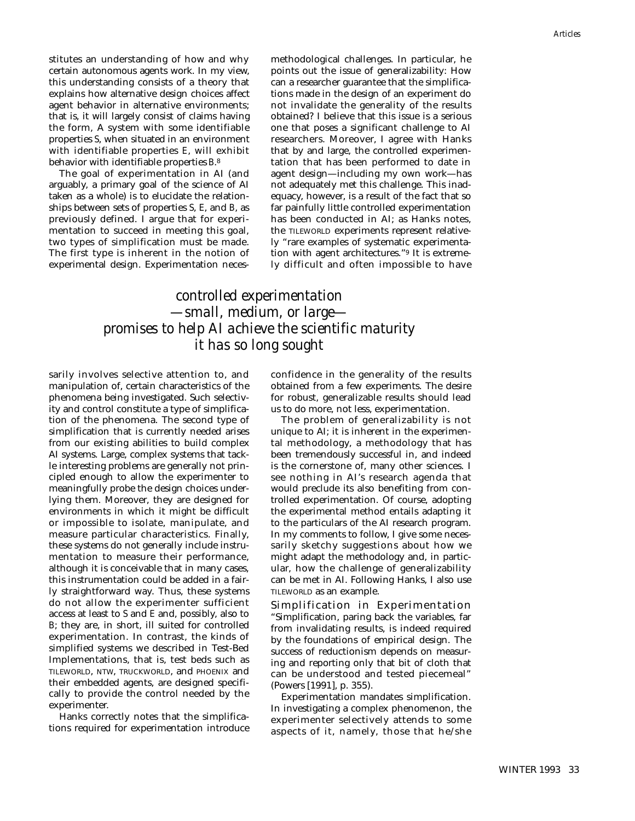stitutes an understanding of how and why certain autonomous agents work. In my view, this understanding consists of a theory that explains how alternative design choices affect agent behavior in alternative environments; that is, it will largely consist of claims having the form, A system with some identifiable properties *S*, when situated in an environment with identifiable properties *E*, will exhibit behavior with identifiable properties *B*.8

The goal of experimentation in AI (and arguably, a primary goal of the science of AI taken as a whole) is to elucidate the relationships between sets of properties *S*, *E*, and *B*, as previously defined. I argue that for experimentation to succeed in meeting this goal, two types of simplification must be made. The first type is inherent in the notion of experimental design. Experimentation neces-

methodological challenges. In particular, he points out the issue of generalizability: How can a researcher guarantee that the simplifications made in the design of an experiment do not invalidate the generality of the results obtained? I believe that this issue is a serious one that poses a significant challenge to AI researchers. Moreover, I agree with Hanks that by and large, the controlled experimentation that has been performed to date in agent design—including my own work—has not adequately met this challenge. This inadequacy, however, is a result of the fact that so far painfully little controlled experimentation has been conducted in AI; as Hanks notes, the TILEWORLD experiments represent relatively "rare examples of systematic experimentation with agent architectures."9 It is extremely difficult and often impossible to have

# *controlled experimentation —small, medium, or large promises to help AI achieve the scientific maturity it has so long sought*

sarily involves selective attention to, and manipulation of, certain characteristics of the phenomena being investigated. Such selectivity and control constitute a type of simplification of the phenomena. The second type of simplification that is currently needed arises from our existing abilities to build complex AI systems. Large, complex systems that tackle interesting problems are generally not principled enough to allow the experimenter to meaningfully probe the design choices underlying them. Moreover, they are designed for environments in which it might be difficult or impossible to isolate, manipulate, and measure particular characteristics. Finally, these systems do not generally include instrumentation to measure their performance, although it is conceivable that in many cases, this instrumentation could be added in a fairly straightforward way. Thus, these systems do not allow the experimenter sufficient access at least to *S* and *E* and, possibly, also to *B*; they are, in short, ill suited for controlled experimentation. In contrast, the kinds of simplified systems we described in Test-Bed Implementations, that is, test beds such as TILEWORLD, NTW, TRUCKWORLD, and PHOENIX and their embedded agents, are designed specifically to provide the control needed by the experimenter.

Hanks correctly notes that the simplifications required for experimentation introduce confidence in the generality of the results obtained from a few experiments. The desire for robust, generalizable results should lead us to do more, not less, experimentation.

The problem of generalizability is not unique to AI; it is inherent in the experimental methodology, a methodology that has been tremendously successful in, and indeed is the cornerstone of, many other sciences. I see nothing in AI's research agenda that would preclude its also benefiting from controlled experimentation. Of course, adopting the experimental method entails adapting it to the particulars of the AI research program. In my comments to follow, I give some necessarily sketchy suggestions about how we might adapt the methodology and, in particular, how the challenge of generalizability can be met in AI. Following Hanks, I also use TILEWORLD as an example.

Simplification in Experimentation "Simplification, paring back the variables, far from invalidating results, is indeed required by the foundations of empirical design. The success of reductionism depends on measuring and reporting only that bit of cloth that can be understood and tested piecemeal" (Powers [1991], p. 355).

Experimentation mandates simplification. In investigating a complex phenomenon, the experimenter selectively attends to some aspects of it, namely, those that he/she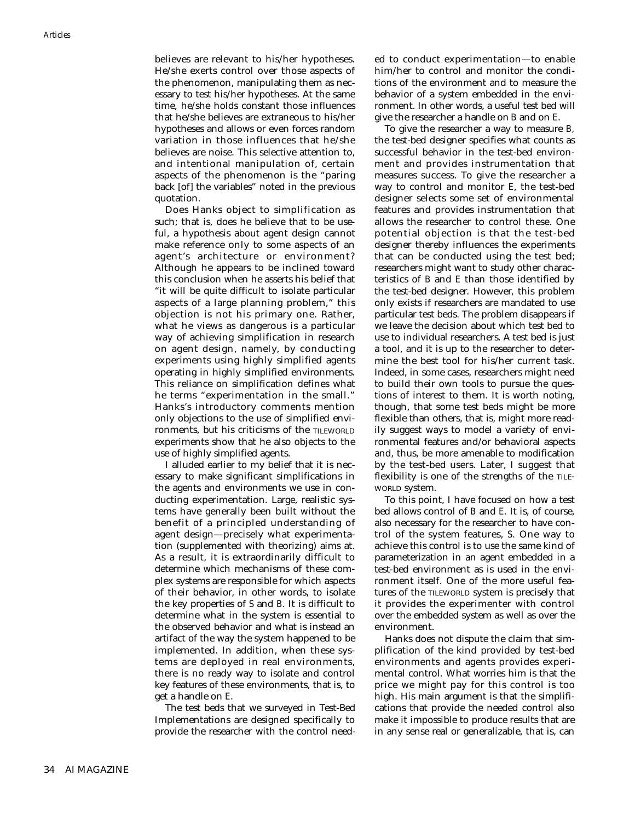believes are relevant to his/her hypotheses. He/she exerts control over those aspects of the phenomenon, manipulating them as necessary to test his/her hypotheses. At the same time, he/she holds constant those influences that he/she believes are extraneous to his/her hypotheses and allows or even forces random variation in those influences that he/she believes are noise. This selective attention to, and intentional manipulation of, certain aspects of the phenomenon is the "paring back [of] the variables" noted in the previous quotation.

Does Hanks object to simplification as such; that is, does he believe that to be useful, a hypothesis about agent design cannot make reference only to some aspects of an agent's architecture or environment? Although he appears to be inclined toward this conclusion when he asserts his belief that "it will be quite difficult to isolate particular aspects of a large planning problem," this objection is not his primary one. Rather, what he views as dangerous is a particular way of achieving simplification in research on agent design, namely, by conducting experiments using highly simplified agents operating in highly simplified environments. This reliance on simplification defines what he terms "experimentation in the small." Hanks's introductory comments mention only objections to the use of simplified environments, but his criticisms of the TILEWORLD experiments show that he also objects to the use of highly simplified agents.

I alluded earlier to my belief that it is necessary to make significant simplifications in the agents and environments we use in conducting experimentation. Large, realistic systems have generally been built without the benefit of a principled understanding of agent design—precisely what experimentation (supplemented with theorizing) aims at. As a result, it is extraordinarily difficult to determine which mechanisms of these complex systems are responsible for which aspects of their behavior, in other words, to isolate the key properties of *S* and *B*. It is difficult to determine what in the system is essential to the observed behavior and what is instead an artifact of the way the system happened to be implemented. In addition, when these systems are deployed in real environments, there is no ready way to isolate and control key features of these environments, that is, to get a handle on *E*.

The test beds that we surveyed in Test-Bed Implementations are designed specifically to provide the researcher with the control needed to conduct experimentation—to enable him/her to control and monitor the conditions of the environment and to measure the behavior of a system embedded in the environment. In other words, a useful test bed will give the researcher a handle on *B* and on *E*.

To give the researcher a way to measure *B,* the test-bed designer specifies what counts as successful behavior in the test-bed environment and provides instrumentation that measures success. To give the researcher a way to control and monitor *E*, the test-bed designer selects some set of environmental features and provides instrumentation that allows the researcher to control these. One potential objection is that the test-bed designer thereby influences the experiments that can be conducted using the test bed; researchers might want to study other characteristics of *B* and *E* than those identified by the test-bed designer. However, this problem only exists if researchers are mandated to use particular test beds. The problem disappears if we leave the decision about which test bed to use to individual researchers. A test bed is just a tool, and it is up to the researcher to determine the best tool for his/her current task. Indeed, in some cases, researchers might need to build their own tools to pursue the questions of interest to them. It is worth noting, though, that some test beds might be more flexible than others, that is, might more readily suggest ways to model a variety of environmental features and/or behavioral aspects and, thus, be more amenable to modification by the test-bed users. Later, I suggest that flexibility is one of the strengths of the TILE-WORLD system.

To this point, I have focused on how a test bed allows control of *B* and *E.* It is, of course, also necessary for the researcher to have control of the system features, *S*. One way to achieve this control is to use the same kind of parameterization in an agent embedded in a test-bed environment as is used in the environment itself. One of the more useful features of the TILEWORLD system is precisely that it provides the experimenter with control over the embedded system as well as over the environment.

Hanks does not dispute the claim that simplification of the kind provided by test-bed environments and agents provides experimental control. What worries him is that the price we might pay for this control is too high. His main argument is that the simplifications that provide the needed control also make it impossible to produce results that are in any sense real or generalizable, that is, can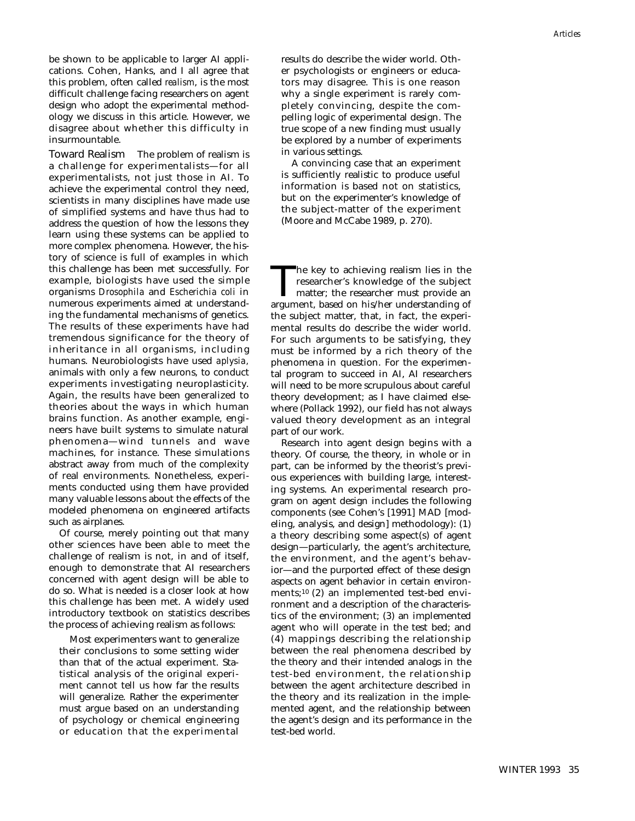be shown to be applicable to larger AI applications. Cohen, Hanks, and I all agree that this problem, often called *realism*, is the most difficult challenge facing researchers on agent design who adopt the experimental methodology we discuss in this article. However, we disagree about whether this difficulty in insurmountable.

Toward Realism The problem of realism is a challenge for experimentalists—for all experimentalists, not just those in AI. To achieve the experimental control they need, scientists in many disciplines have made use of simplified systems and have thus had to address the question of how the lessons they learn using these systems can be applied to more complex phenomena. However, the history of science is full of examples in which this challenge has been met successfully. For example, biologists have used the simple organisms *Drosophila* and *Escherichia coli* in numerous experiments aimed at understanding the fundamental mechanisms of genetics. The results of these experiments have had tremendous significance for the theory of inheritance in all organisms, including humans. Neurobiologists have used *aplysia,* animals with only a few neurons, to conduct experiments investigating neuroplasticity. Again, the results have been generalized to theories about the ways in which human brains function. As another example, engineers have built systems to simulate natural phenomena—wind tunnels and wave machines, for instance. These simulations abstract away from much of the complexity of real environments. Nonetheless, experiments conducted using them have provided many valuable lessons about the effects of the modeled phenomena on engineered artifacts such as airplanes.

Of course, merely pointing out that many other sciences have been able to meet the challenge of realism is not, in and of itself, enough to demonstrate that AI researchers concerned with agent design will be able to do so. What is needed is a closer look at how this challenge has been met. A widely used introductory textbook on statistics describes the process of achieving realism as follows:

Most experimenters want to generalize their conclusions to some setting wider than that of the actual experiment. Statistical analysis of the original experiment cannot tell us how far the results will generalize. Rather the experimenter must argue based on an understanding of psychology or chemical engineering or education that the experimental

results do describe the wider world. Other psychologists or engineers or educators may disagree. This is one reason why a single experiment is rarely completely convincing, despite the compelling logic of experimental design. The true scope of a new finding must usually be explored by a number of experiments in various settings.

A convincing case that an experiment is sufficiently realistic to produce useful information is based not on statistics, but on the experimenter's knowledge of the subject-matter of the experiment (Moore and McCabe 1989, p. 270).

The key to achieving realism lies in the<br>researcher's knowledge of the subject<br>matter; the researcher must provide an<br>argument based on his/her understanding of researcher's knowledge of the subject argument, based on his/her understanding of the subject matter, that, in fact, the experimental results do describe the wider world. For such arguments to be satisfying, they must be informed by a rich theory of the phenomena in question. For the experimental program to succeed in AI, AI researchers will need to be more scrupulous about careful theory development; as I have claimed elsewhere (Pollack 1992), our field has not always valued theory development as an integral part of our work.

Research into agent design begins with a theory. Of course, the theory, in whole or in part, can be informed by the theorist's previous experiences with building large, interesting systems. An experimental research program on agent design includes the following components (see Cohen's [1991] MAD [modeling, analysis, and design] methodology): (1) a theory describing some aspect(s) of agent design—particularly, the agent's architecture, the environment, and the agent's behavior—and the purported effect of these design aspects on agent behavior in certain environments;10 (2) an implemented test-bed environment and a description of the characteristics of the environment; (3) an implemented agent who will operate in the test bed; and (4) mappings describing the relationship between the real phenomena described by the theory and their intended analogs in the test-bed environment, the relationship between the agent architecture described in the theory and its realization in the implemented agent, and the relationship between the agent's design and its performance in the test-bed world.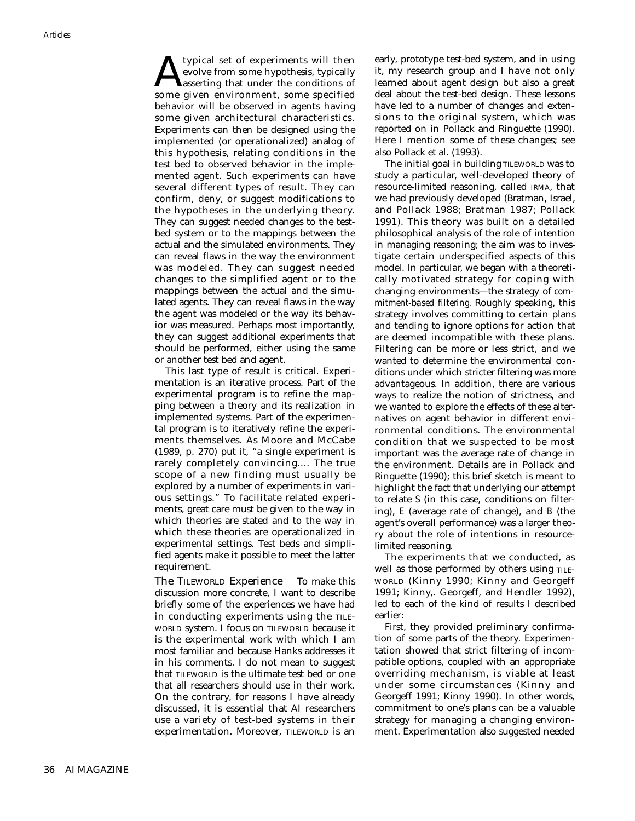typical set of experiments will then evolve from some hypothesis, typically asserting that under the conditions of some given environment, some specified behavior will be observed in agents having some given architectural characteristics. Experiments can then be designed using the implemented (or operationalized) analog of this hypothesis, relating conditions in the test bed to observed behavior in the implemented agent. Such experiments can have several different types of result. They can confirm, deny, or suggest modifications to the hypotheses in the underlying theory. They can suggest needed changes to the testbed system or to the mappings between the actual and the simulated environments. They can reveal flaws in the way the environment was modeled. They can suggest needed changes to the simplified agent or to the mappings between the actual and the simulated agents. They can reveal flaws in the way the agent was modeled or the way its behavior was measured. Perhaps most importantly, they can suggest additional experiments that should be performed, either using the same or another test bed and agent.

This last type of result is critical. Experimentation is an iterative process. Part of the experimental program is to refine the mapping between a theory and its realization in implemented systems. Part of the experimental program is to iteratively refine the experiments themselves. As Moore and McCabe (1989, p. 270) put it, "a single experiment is rarely completely convincing.… The true scope of a new finding must usually be explored by a number of experiments in various settings." To facilitate related experiments, great care must be given to the way in which theories are stated and to the way in which these theories are operationalized in experimental settings. Test beds and simplified agents make it possible to meet the latter requirement.

The TILEWORLD Experience To make this discussion more concrete, I want to describe briefly some of the experiences we have had in conducting experiments using the TILE-WORLD system. I focus on TILEWORLD because it is the experimental work with which I am most familiar and because Hanks addresses it in his comments. I do not mean to suggest that TILEWORLD is the ultimate test bed or one that all researchers should use in their work. On the contrary, for reasons I have already discussed, it is essential that AI researchers use a variety of test-bed systems in their experimentation. Moreover, TILEWORLD is an

early, prototype test-bed system, and in using it, my research group and I have not only learned about agent design but also a great deal about the test-bed design. These lessons have led to a number of changes and extensions to the original system, which was reported on in Pollack and Ringuette (1990). Here I mention some of these changes; see also Pollack et al. (1993).

The initial goal in building TILEWORLD was to study a particular, well-developed theory of resource-limited reasoning, called IRMA, that we had previously developed (Bratman, Israel, and Pollack 1988; Bratman 1987; Pollack 1991). This theory was built on a detailed philosophical analysis of the role of intention in managing reasoning; the aim was to investigate certain underspecified aspects of this model. In particular, we began with a theoretically motivated strategy for coping with changing environments—the strategy of *commitment-based filtering.* Roughly speaking, this strategy involves committing to certain plans and tending to ignore options for action that are deemed incompatible with these plans. Filtering can be more or less strict, and we wanted to determine the environmental conditions under which stricter filtering was more advantageous. In addition, there are various ways to realize the notion of strictness, and we wanted to explore the effects of these alternatives on agent behavior in different environmental conditions. The environmental condition that we suspected to be most important was the average rate of change in the environment. Details are in Pollack and Ringuette (1990); this brief sketch is meant to highlight the fact that underlying our attempt to relate *S* (in this case, conditions on filtering), *E* (average rate of change), and *B* (the agent's overall performance) was a larger theory about the role of intentions in resourcelimited reasoning.

The experiments that we conducted, as well as those performed by others using TILE-WORLD (Kinny 1990; Kinny and Georgeff 1991; Kinny,. Georgeff, and Hendler 1992), led to each of the kind of results I described earlier:

First, they provided preliminary confirmation of some parts of the theory. Experimentation showed that strict filtering of incompatible options, coupled with an appropriate overriding mechanism, is viable at least under some circumstances (Kinny and Georgeff 1991; Kinny 1990). In other words, commitment to one's plans can be a valuable strategy for managing a changing environment. Experimentation also suggested needed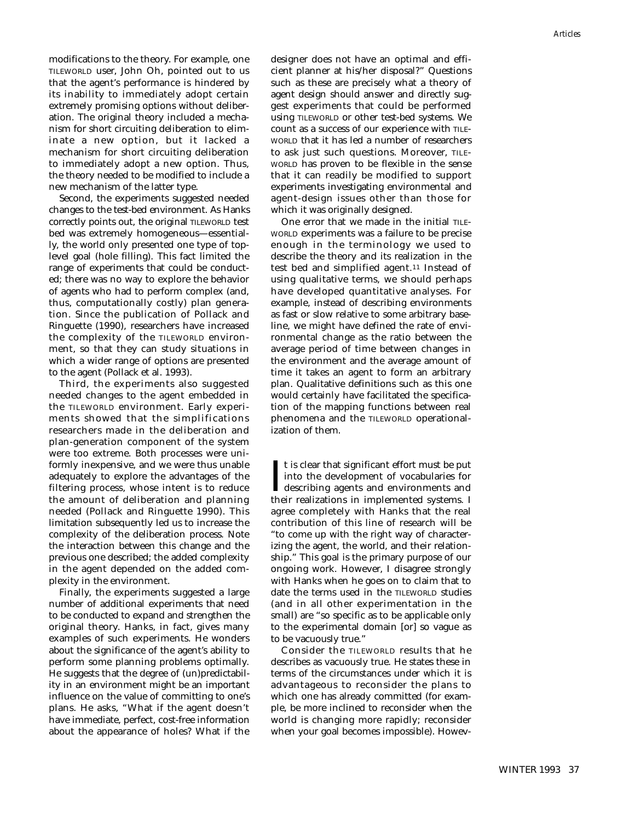modifications to the theory. For example, one TILEWORLD user, John Oh, pointed out to us that the agent's performance is hindered by its inability to immediately adopt certain extremely promising options without deliberation. The original theory included a mechanism for short circuiting deliberation to eliminate a new option, but it lacked a mechanism for short circuiting deliberation to immediately adopt a new option. Thus, the theory needed to be modified to include a new mechanism of the latter type.

Second, the experiments suggested needed changes to the test-bed environment. As Hanks correctly points out, the original TILEWORLD test bed was extremely homogeneous—essentially, the world only presented one type of toplevel goal (hole filling). This fact limited the range of experiments that could be conducted; there was no way to explore the behavior of agents who had to perform complex (and, thus, computationally costly) plan generation. Since the publication of Pollack and Ringuette (1990), researchers have increased the complexity of the TILEWORLD environment, so that they can study situations in which a wider range of options are presented to the agent (Pollack et al. 1993).

Third, the experiments also suggested needed changes to the agent embedded in the TILEWORLD environment. Early experiments showed that the simplifications researchers made in the deliberation and plan-generation component of the system were too extreme. Both processes were uniformly inexpensive, and we were thus unable adequately to explore the advantages of the filtering process, whose intent is to reduce the amount of deliberation and planning needed (Pollack and Ringuette 1990). This limitation subsequently led us to increase the complexity of the deliberation process. Note the interaction between this change and the previous one described; the added complexity in the agent depended on the added complexity in the environment.

Finally, the experiments suggested a large number of additional experiments that need to be conducted to expand and strengthen the original theory. Hanks, in fact, gives many examples of such experiments. He wonders about the significance of the agent's ability to perform some planning problems optimally. He suggests that the degree of (un)predictability in an environment might be an important influence on the value of committing to one's plans. He asks, "What if the agent doesn't have immediate, perfect, cost-free information about the appearance of holes? What if the

designer does not have an optimal and efficient planner at his/her disposal?" Questions such as these are precisely what a theory of agent design should answer and directly suggest experiments that could be performed using TILEWORLD or other test-bed systems. We count as a success of our experience with TILE-WORLD that it has led a number of researchers to ask just such questions. Moreover, TILE-WORLD has proven to be flexible in the sense that it can readily be modified to support experiments investigating environmental and agent-design issues other than those for which it was originally designed.

One error that we made in the initial TILE-WORLD experiments was a failure to be precise enough in the terminology we used to describe the theory and its realization in the test bed and simplified agent.11 Instead of using qualitative terms, we should perhaps have developed quantitative analyses. For example, instead of describing environments as fast or slow relative to some arbitrary baseline, we might have defined the rate of environmental change as the ratio between the average period of time between changes in the environment and the average amount of time it takes an agent to form an arbitrary plan. Qualitative definitions such as this one would certainly have facilitated the specification of the mapping functions between real phenomena and the TILEWORLD operationalization of them.

It is clear that significant effort must be put<br>into the development of vocabularies for<br>describing agents and environments and<br>their realizations in implemented systems If t is clear that significant effort must be put into the development of vocabularies for their realizations in implemented systems. I agree completely with Hanks that the real contribution of this line of research will be "to come up with the right way of characterizing the agent, the world, and their relationship." This goal is the primary purpose of our ongoing work. However, I disagree strongly with Hanks when he goes on to claim that to date the terms used in the TILEWORLD studies (and in all other experimentation in the small) are "so specific as to be applicable only to the experimental domain [or] so vague as to be vacuously true."

Consider the TILEWORLD results that he describes as vacuously true. He states these in terms of the circumstances under which it is advantageous to reconsider the plans to which one has already committed (for example, be more inclined to reconsider when the world is changing more rapidly; reconsider when your goal becomes impossible). Howev-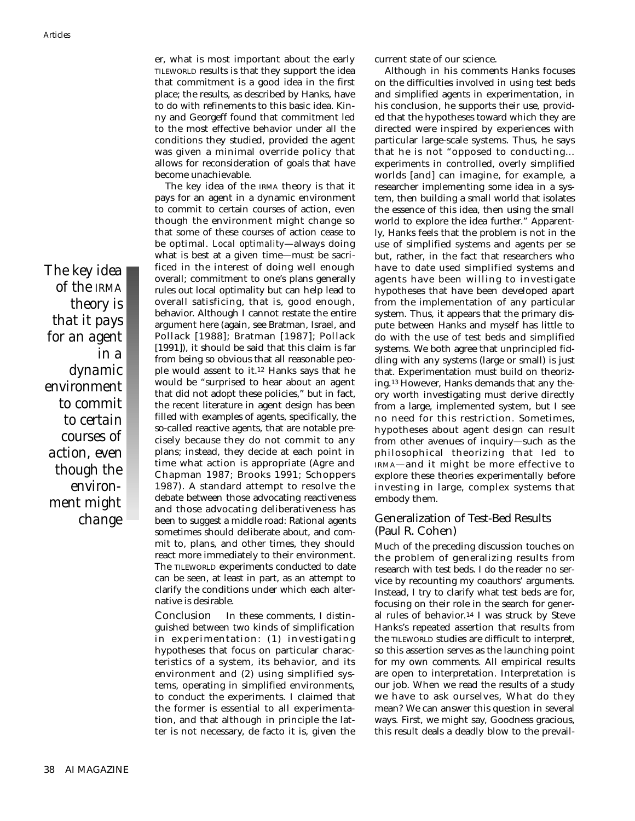*The key idea of the IRMA theory is that it pays for an agent in a dynamic environment to commit to certain courses of action, even though the environment might change*

er, what is most important about the early TILEWORLD results is that they support the idea that commitment is a good idea in the first place; the results, as described by Hanks, have to do with refinements to this basic idea. Kinny and Georgeff found that commitment led to the most effective behavior under all the conditions they studied, provided the agent was given a minimal override policy that allows for reconsideration of goals that have become unachievable.

The key idea of the IRMA theory is that it pays for an agent in a dynamic environment to commit to certain courses of action, even though the environment might change so that some of these courses of action cease to be optimal. *Local optimality*—always doing what is best at a given time—must be sacrificed in the interest of doing well enough overall; commitment to one's plans generally rules out local optimality but can help lead to overall satisficing, that is, good enough, behavior. Although I cannot restate the entire argument here (again, see Bratman, Israel, and Pollack [1988]; Bratman [1987]; Pollack [1991]), it should be said that this claim is far from being so obvious that all reasonable people would assent to it.12 Hanks says that he would be "surprised to hear about an agent that did not adopt these policies," but in fact, the recent literature in agent design has been filled with examples of agents, specifically, the so-called reactive agents, that are notable precisely because they do not commit to any plans; instead, they decide at each point in time what action is appropriate (Agre and Chapman 1987; Brooks 1991; Schoppers 1987). A standard attempt to resolve the debate between those advocating reactiveness and those advocating deliberativeness has been to suggest a middle road: Rational agents sometimes should deliberate about, and commit to, plans, and other times, they should react more immediately to their environment. The TILEWORLD experiments conducted to date can be seen, at least in part, as an attempt to clarify the conditions under which each alternative is desirable.

Conclusion In these comments, I distinguished between two kinds of simplification in experimentation: (1) investigating hypotheses that focus on particular characteristics of a system, its behavior, and its environment and (2) using simplified systems, operating in simplified environments, to conduct the experiments. I claimed that the former is essential to all experimentation, and that although in principle the latter is not necessary, de facto it is, given the

current state of our science.

Although in his comments Hanks focuses on the difficulties involved in using test beds and simplified agents in experimentation, in his conclusion, he supports their use, provided that the hypotheses toward which they are directed were inspired by experiences with particular large-scale systems. Thus, he says that he is not "opposed to conducting… experiments in controlled, overly simplified worlds [and] can imagine, for example, a researcher implementing some idea in a system, then building a small world that isolates the essence of this idea, then using the small world to explore the idea further." Apparently, Hanks feels that the problem is not in the use of simplified systems and agents per se but, rather, in the fact that researchers who have to date used simplified systems and agents have been willing to investigate hypotheses that have been developed apart from the implementation of any particular system. Thus, it appears that the primary dispute between Hanks and myself has little to do with the use of test beds and simplified systems. We both agree that unprincipled fiddling with any systems (large or small) is just that. Experimentation must build on theorizing.13 However, Hanks demands that any theory worth investigating must derive directly from a large, implemented system, but I see no need for this restriction. Sometimes, hypotheses about agent design can result from other avenues of inquiry—such as the philosophical theorizing that led to IRMA—and it might be more effective to explore these theories experimentally before investing in large, complex systems that embody them.

## Generalization of Test-Bed Results (Paul R. Cohen)

Much of the preceding discussion touches on the problem of generalizing results from research with test beds. I do the reader no service by recounting my coauthors' arguments. Instead, I try to clarify what test beds are for, focusing on their role in the search for general rules of behavior.14 I was struck by Steve Hanks's repeated assertion that results from the TILEWORLD studies are difficult to interpret, so this assertion serves as the launching point for my own comments. All empirical results are open to interpretation. Interpretation is our job. When we read the results of a study we have to ask ourselves, What do they mean? We can answer this question in several ways. First, we might say, Goodness gracious, this result deals a deadly blow to the prevail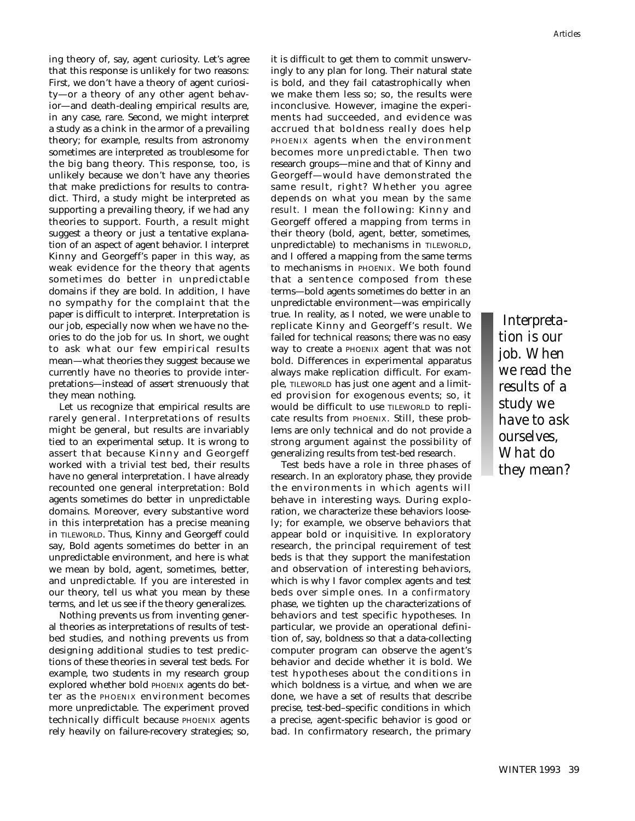ing theory of, say, agent curiosity. Let's agree that this response is unlikely for two reasons: First, we don't have a theory of agent curiosity—or a theory of any other agent behavior—and death-dealing empirical results are, in any case, rare. Second, we might interpret a study as a chink in the armor of a prevailing theory; for example, results from astronomy sometimes are interpreted as troublesome for the big bang theory. This response, too, is unlikely because we don't have any theories that make predictions for results to contradict. Third, a study might be interpreted as supporting a prevailing theory, if we had any theories to support. Fourth, a result might suggest a theory or just a tentative explanation of an aspect of agent behavior. I interpret Kinny and Georgeff's paper in this way, as weak evidence for the theory that agents sometimes do better in unpredictable domains if they are bold. In addition, I have no sympathy for the complaint that the paper is difficult to interpret. Interpretation is our job, especially now when we have no theories to do the job for us. In short, we ought to ask what our few empirical results mean—what theories they suggest because we currently have no theories to provide interpretations—instead of assert strenuously that they mean nothing.

Let us recognize that empirical results are rarely general. Interpretations of results might be general, but results are invariably tied to an experimental setup. It is wrong to assert that because Kinny and Georgeff worked with a trivial test bed, their results have no general interpretation. I have already recounted one general interpretation: Bold agents sometimes do better in unpredictable domains. Moreover, every substantive word in this interpretation has a precise meaning in TILEWORLD. Thus, Kinny and Georgeff could say, Bold agents sometimes do better in an unpredictable environment, and here is what we mean by bold, agent, sometimes, better, and unpredictable. If you are interested in our theory, tell us what you mean by these terms, and let us see if the theory generalizes.

Nothing prevents us from inventing general theories as interpretations of results of testbed studies, and nothing prevents us from designing additional studies to test predictions of these theories in several test beds. For example, two students in my research group explored whether bold PHOENIX agents do better as the PHOENIX environment becomes more unpredictable. The experiment proved technically difficult because PHOENIX agents rely heavily on failure-recovery strategies; so,

it is difficult to get them to commit unswervingly to any plan for long. Their natural state is bold, and they fail catastrophically when we make them less so; so, the results were inconclusive. However, imagine the experiments had succeeded, and evidence was accrued that boldness really does help PHOENIX agents when the environment becomes more unpredictable. Then two research groups—mine and that of Kinny and Georgeff—would have demonstrated the same result, right? Whether you agree depends on what you mean by *the same result.* I mean the following: Kinny and Georgeff offered a mapping from terms in their theory (bold, agent, better, sometimes, unpredictable) to mechanisms in TILEWORLD, and I offered a mapping from the same terms to mechanisms in PHOENIX. We both found that a sentence composed from these terms—bold agents sometimes do better in an unpredictable environment—was empirically true. In reality, as I noted, we were unable to replicate Kinny and Georgeff's result. We failed for technical reasons; there was no easy way to create a PHOENIX agent that was not bold. Differences in experimental apparatus always make replication difficult. For example, TILEWORLD has just one agent and a limited provision for exogenous events; so, it would be difficult to use TILEWORLD to replicate results from PHOENIX. Still, these problems are only technical and do not provide a strong argument against the possibility of generalizing results from test-bed research.

Test beds have a role in three phases of research. In an *exploratory* phase, they provide the environments in which agents will behave in interesting ways. During exploration, we characterize these behaviors loosely; for example, we observe behaviors that appear bold or inquisitive. In exploratory research, the principal requirement of test beds is that they support the manifestation and observation of interesting behaviors, which is why I favor complex agents and test beds over simple ones. In a *confirmatory* phase, we tighten up the characterizations of behaviors and test specific hypotheses. In particular, we provide an operational definition of, say, boldness so that a data-collecting computer program can observe the agent's behavior and decide whether it is bold. We test hypotheses about the conditions in which boldness is a virtue, and when we are done, we have a set of results that describe precise, test-bed–specific conditions in which a precise, agent-specific behavior is good or bad. In confirmatory research, the primary

*Interpretation is our job. When we read the results of a study we have to ask ourselves, What do they mean?*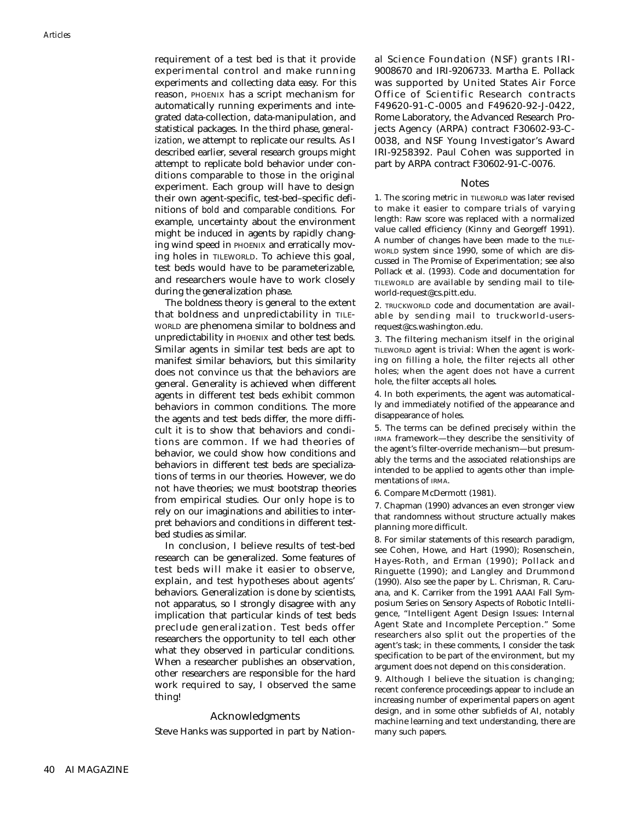requirement of a test bed is that it provide experimental control and make running experiments and collecting data easy. For this reason, PHOENIX has a script mechanism for automatically running experiments and integrated data-collection, data-manipulation, and statistical packages. In the third phase, *generalization*, we attempt to replicate our results. As I described earlier, several research groups might attempt to replicate bold behavior under conditions comparable to those in the original experiment. Each group will have to design their own agent-specific, test-bed–specific definitions of *bold* and *comparable conditions*. For example, uncertainty about the environment might be induced in agents by rapidly changing wind speed in PHOENIX and erratically moving holes in TILEWORLD. To achieve this goal, test beds would have to be parameterizable, and researchers woule have to work closely during the generalization phase.

The boldness theory is general to the extent that boldness and unpredictability in TILE-WORLD are phenomena similar to boldness and unpredictability in PHOENIX and other test beds. Similar agents in similar test beds are apt to manifest similar behaviors, but this similarity does not convince us that the behaviors are general. Generality is achieved when different agents in different test beds exhibit common behaviors in common conditions. The more the agents and test beds differ, the more difficult it is to show that behaviors and conditions are common. If we had theories of behavior, we could show how conditions and behaviors in different test beds are specializations of terms in our theories. However, we do not have theories; we must bootstrap theories from empirical studies. Our only hope is to rely on our imaginations and abilities to interpret behaviors and conditions in different testbed studies as similar.

In conclusion, I believe results of test-bed research can be generalized. Some features of test beds will make it easier to observe, explain, and test hypotheses about agents' behaviors. Generalization is done by scientists, not apparatus, so I strongly disagree with any implication that particular kinds of test beds preclude generalization. Test beds offer researchers the opportunity to tell each other what they observed in particular conditions. When a researcher publishes an observation, other researchers are responsible for the hard work required to say, I observed the same thing!

#### Acknowledgments

Steve Hanks was supported in part by Nation-

al Science Foundation (NSF) grants IRI-9008670 and IRI-9206733. Martha E. Pollack was supported by United States Air Force Office of Scientific Research contracts F49620-91-C-0005 and F49620-92-J-0422, Rome Laboratory, the Advanced Research Projects Agency (ARPA) contract F30602-93-C-0038, and NSF Young Investigator's Award IRI-9258392. Paul Cohen was supported in part by ARPA contract F30602-91-C-0076.

#### Notes

1. The scoring metric in TILEWORLD was later revised to make it easier to compare trials of varying length: Raw score was replaced with a normalized value called efficiency (Kinny and Georgeff 1991). A number of changes have been made to the TILE-WORLD system since 1990, some of which are discussed in The Promise of Experimentation; see also Pollack et al. (1993). Code and documentation for TILEWORLD are available by sending mail to tileworld-request@cs.pitt.edu.

2. TRUCKWORLD code and documentation are available by sending mail to truckworld-usersrequest@cs.washington.edu.

3. The filtering mechanism itself in the original TILEWORLD agent is trivial: When the agent is working on filling a hole, the filter rejects all other holes; when the agent does not have a current hole, the filter accepts all holes.

4. In both experiments, the agent was automatically and immediately notified of the appearance and disappearance of holes.

5. The terms can be defined precisely within the IRMA framework—they describe the sensitivity of the agent's filter-override mechanism—but presumably the terms and the associated relationships are intended to be applied to agents other than implementations of IRMA.

6. Compare McDermott (1981).

7. Chapman (1990) advances an even stronger view that randomness without structure actually makes planning more difficult.

8. For similar statements of this research paradigm, see Cohen, Howe, and Hart (1990); Rosenschein, Hayes-Roth, and Erman (1990); Pollack and Ringuette (1990); and Langley and Drummond (1990). Also see the paper by L. Chrisman, R. Caruana, and K. Carriker from the 1991 AAAI Fall Symposium Series on Sensory Aspects of Robotic Intelligence, "Intelligent Agent Design Issues: Internal Agent State and Incomplete Perception." Some researchers also split out the properties of the agent's task; in these comments, I consider the task specification to be part of the environment, but my argument does not depend on this consideration.

9. Although I believe the situation is changing; recent conference proceedings appear to include an increasing number of experimental papers on agent design, and in some other subfields of AI, notably machine learning and text understanding, there are many such papers.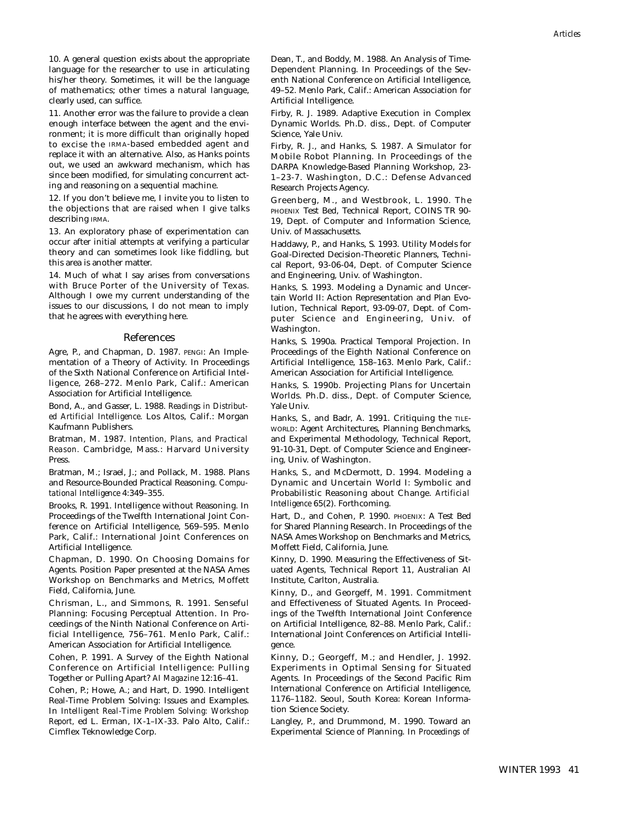10. A general question exists about the appropriate language for the researcher to use in articulating his/her theory. Sometimes, it will be the language of mathematics; other times a natural language, clearly used, can suffice.

11. Another error was the failure to provide a clean enough interface between the agent and the environment; it is more difficult than originally hoped to excise the IRMA-based embedded agent and replace it with an alternative. Also, as Hanks points out, we used an awkward mechanism, which has since been modified, for simulating concurrent acting and reasoning on a sequential machine.

12. If you don't believe me, I invite you to listen to the objections that are raised when I give talks describing IRMA.

13. An exploratory phase of experimentation can occur after initial attempts at verifying a particular theory and can sometimes look like fiddling, but this area is another matter.

14. Much of what I say arises from conversations with Bruce Porter of the University of Texas. Although I owe my current understanding of the issues to our discussions, I do not mean to imply that he agrees with everything here.

#### References

Agre, P., and Chapman, D. 1987. PENGI: An Implementation of a Theory of Activity. In Proceedings of the Sixth National Conference on Artificial Intelligence, 268–272. Menlo Park, Calif.: American Association for Artificial Intelligence.

Bond, A., and Gasser, L. 1988. *Readings in Distributed Artificial Intelligence.* Los Altos, Calif.: Morgan Kaufmann Publishers.

Bratman, M. 1987. *Intention, Plans, and Practical Reason.* Cambridge, Mass.: Harvard University Press.

Bratman, M.; Israel, J.; and Pollack, M. 1988. Plans and Resource-Bounded Practical Reasoning. *Computational Intelligence* 4:349–355.

Brooks, R. 1991. Intelligence without Reasoning. In Proceedings of the Twelfth International Joint Conference on Artificial Intelligence, 569–595. Menlo Park, Calif.: International Joint Conferences on Artificial Intelligence.

Chapman, D. 1990. On Choosing Domains for Agents. Position Paper presented at the NASA Ames Workshop on Benchmarks and Metrics, Moffett Field, California, June.

Chrisman, L., and Simmons, R. 1991. Senseful Planning: Focusing Perceptual Attention. In Proceedings of the Ninth National Conference on Artificial Intelligence, 756–761. Menlo Park, Calif.: American Association for Artificial Intelligence.

Cohen, P. 1991. A Survey of the Eighth National Conference on Artificial Intelligence: Pulling Together or Pulling Apart? *AI Magazine* 12:16–41.

Cohen, P.; Howe, A.; and Hart, D. 1990. Intelligent Real-Time Problem Solving: Issues and Examples. In *Intelligent Real-Time Problem Solving: Workshop Report,* ed L. Erman, IX-1–IX-33. Palo Alto, Calif.: Cimflex Teknowledge Corp.

Dean, T., and Boddy, M. 1988. An Analysis of Time-Dependent Planning. In Proceedings of the Seventh National Conference on Artificial Intelligence, 49–52. Menlo Park, Calif.: American Association for Artificial Intelligence.

Firby, R. J. 1989. Adaptive Execution in Complex Dynamic Worlds. Ph.D. diss., Dept. of Computer Science, Yale Univ.

Firby, R. J., and Hanks, S. 1987. A Simulator for Mobile Robot Planning. In Proceedings of the DARPA Knowledge-Based Planning Workshop, 23- 1–23-7. Washington, D.C.: Defense Advanced Research Projects Agency.

Greenberg, M., and Westbrook, L. 1990. The PHOENIX Test Bed, Technical Report, COINS TR 90- 19, Dept. of Computer and Information Science, Univ. of Massachusetts.

Haddawy, P., and Hanks, S. 1993. Utility Models for Goal-Directed Decision-Theoretic Planners, Technical Report, 93-06-04, Dept. of Computer Science and Engineering, Univ. of Washington.

Hanks, S. 1993. Modeling a Dynamic and Uncertain World II: Action Representation and Plan Evolution, Technical Report, 93-09-07, Dept. of Computer Science and Engineering, Univ. of Washington.

Hanks, S. 1990a. Practical Temporal Projection. In Proceedings of the Eighth National Conference on Artificial Intelligence, 158–163. Menlo Park, Calif.: American Association for Artificial Intelligence.

Hanks, S. 1990b. Projecting Plans for Uncertain Worlds. Ph.D. diss., Dept. of Computer Science, Yale Univ.

Hanks, S., and Badr, A. 1991. Critiquing the TILE-WORLD: Agent Architectures, Planning Benchmarks, and Experimental Methodology, Technical Report, 91-10-31, Dept. of Computer Science and Engineering, Univ. of Washington.

Hanks, S., and McDermott, D. 1994. Modeling a Dynamic and Uncertain World I: Symbolic and Probabilistic Reasoning about Change. *Artificial Intelligence* 65(2). Forthcoming.

Hart, D., and Cohen, P. 1990. PHOENIX: A Test Bed for Shared Planning Research. In Proceedings of the NASA Ames Workshop on Benchmarks and Metrics, Moffett Field, California, June.

Kinny, D. 1990. Measuring the Effectiveness of Situated Agents, Technical Report 11, Australian AI Institute, Carlton, Australia.

Kinny, D., and Georgeff, M. 1991. Commitment and Effectiveness of Situated Agents. In Proceedings of the Twelfth International Joint Conference on Artificial Intelligence, 82–88. Menlo Park, Calif.: International Joint Conferences on Artificial Intelligence.

Kinny, D.; Georgeff, M.; and Hendler, J. 1992. Experiments in Optimal Sensing for Situated Agents. In Proceedings of the Second Pacific Rim International Conference on Artificial Intelligence, 1176–1182. Seoul, South Korea: Korean Information Science Society.

Langley, P., and Drummond, M. 1990. Toward an Experimental Science of Planning. In *Proceedings of*